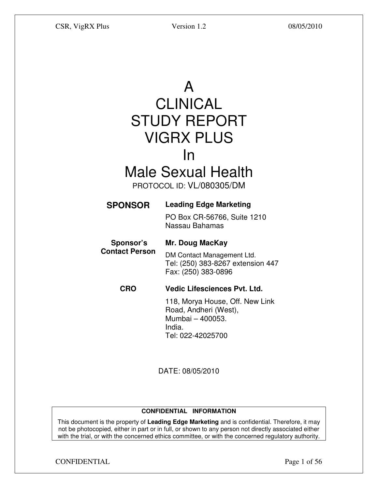A

# CLINICAL STUDY REPORT VIGRX PLUS In

# Male Sexual Health

PROTOCOL ID: VL/080305/DM

# **SPONSOR Leading Edge Marketing**

PO Box CR-56766, Suite 1210 Nassau Bahamas

 **Sponsor's Contact Person Mr. Doug MacKay** 

DM Contact Management Ltd. Tel: (250) 383-8267 extension 447 Fax: (250) 383-0896

# **CRO Vedic Lifesciences Pvt. Ltd.**

118, Morya House, Off. New Link Road, Andheri (West), Mumbai – 400053. India. Tel: 022-42025700

DATE: 08/05/2010

# **CONFIDENTIAL INFORMATION**

This document is the property of **Leading Edge Marketing** and is confidential. Therefore, it may not be photocopied, either in part or in full, or shown to any person not directly associated either with the trial, or with the concerned ethics committee, or with the concerned regulatory authority.

CONFIDENTIAL Page 1 of 56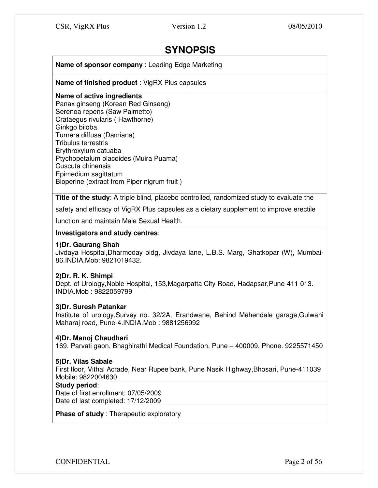# **SYNOPSIS**

**Name of sponsor company** : Leading Edge Marketing

**Name of finished product** : VigRX Plus capsules

#### **Name of active ingredients**:

Panax ginseng (Korean Red Ginseng) Serenoa repens (Saw Palmetto) Crataegus rivularis ( Hawthorne) Ginkgo biloba Turnera diffusa (Damiana) Tribulus terrestris Erythroxylum catuaba Ptychopetalum olacoides (Muira Puama) Cuscuta chinensis Epimedium sagittatum Bioperine (extract from Piper nigrum fruit )

**Title of the study**: A triple blind, placebo controlled, randomized study to evaluate the

safety and efficacy of VigRX Plus capsules as a dietary supplement to improve erectile

function and maintain Male Sexual Health.

# **Investigators and study centres**:

#### **1)Dr. Gaurang Shah**

Jivdaya Hospital,Dharmoday bldg, Jivdaya lane, L.B.S. Marg, Ghatkopar (W), Mumbai-86.INDIA.Mob: 9821019432.

# **2)Dr. R. K. Shimpi**

Dept. of Urology,Noble Hospital, 153,Magarpatta City Road, Hadapsar,Pune-411 013. INDIA.Mob : 9822059799

# **3)Dr. Suresh Patankar**

Institute of urology,Survey no. 32/2A, Erandwane, Behind Mehendale garage,Gulwani Maharaj road, Pune-4.INDIA.Mob : 9881256992

# **4)Dr. Manoj Chaudhari**

169, Parvati gaon, Bhaghirathi Medical Foundation, Pune – 400009, Phone. 9225571450

#### **5)Dr. Vilas Sabale**

First floor, Vithal Acrade, Near Rupee bank, Pune Nasik Highway,Bhosari, Pune-411039 Mobile: 9822004630

#### **Study period**:

Date of first enrollment: 07/05/2009 Date of last completed: 17/12/2009

**Phase of study** : Therapeutic exploratory

CONFIDENTIAL Page 2 of 56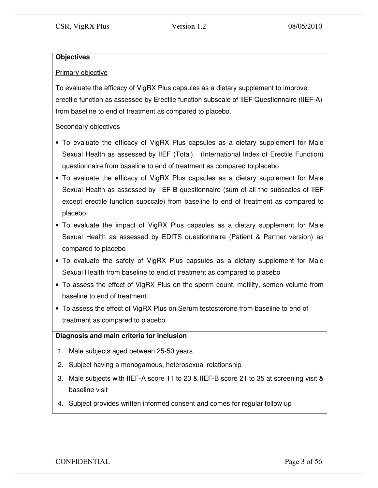# **Objectives**

# Primary objective

To evaluate the efficacy of VigRX Plus capsules as a dietary supplement to improve erectile function as assessed by Erectile function subscale of IIEF Questionnaire (IIEF-A) from baseline to end of treatment as compared to placebo.

# Secondary objectives

- To evaluate the efficacy of VigRX Plus capsules as a dietary supplement for Male Sexual Health as assessed by IIEF (Total) (International Index of Erectile Function) questionnaire from baseline to end of treatment as compared to placebo
- To evaluate the efficacy of VigRX Plus capsules as a dietary supplement for Male Sexual Health as assessed by IIEF-B questionnaire (sum of all the subscales of IIEF except erectile function subscale) from baseline to end of treatment as compared to placebo
- To evaluate the impact of VigRX Plus capsules as a dietary supplement for Male Sexual Health as assessed by EDITS questionnaire (Patient & Partner version) as compared to placebo
- To evaluate the safety of VigRX Plus capsules as a dietary supplement for Male Sexual Health from baseline to end of treatment as compared to placebo
- To assess the effect of VigRX Plus on the sperm count, motility, semen volume from baseline to end of treatment.
- To assess the effect of VigRX Plus on Serum testosterone from baseline to end of treatment as compared to placebo

# **Diagnosis and main criteria for inclusion**

- 1. Male subjects aged between 25-50 years
- 2. Subject having a monogamous, heterosexual relationship
- 3. Male subjects with IIEF-A score 11 to 23 & IIEF-B score 21 to 35 at screening visit & baseline visit
- 4. Subject provides written informed consent and comes for regular follow up

CONFIDENTIAL Page 3 of 56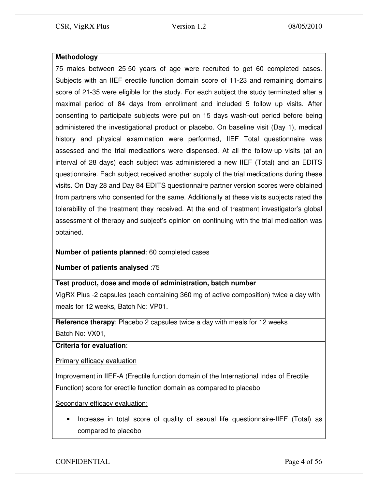# **Methodology**

75 males between 25-50 years of age were recruited to get 60 completed cases. Subjects with an IIEF erectile function domain score of 11-23 and remaining domains score of 21-35 were eligible for the study. For each subject the study terminated after a maximal period of 84 days from enrollment and included 5 follow up visits. After consenting to participate subjects were put on 15 days wash-out period before being administered the investigational product or placebo. On baseline visit (Day 1), medical history and physical examination were performed, IIEF Total questionnaire was assessed and the trial medications were dispensed. At all the follow-up visits (at an interval of 28 days) each subject was administered a new IIEF (Total) and an EDITS questionnaire. Each subject received another supply of the trial medications during these visits. On Day 28 and Day 84 EDITS questionnaire partner version scores were obtained from partners who consented for the same. Additionally at these visits subjects rated the tolerability of the treatment they received. At the end of treatment investigator's global assessment of therapy and subject's opinion on continuing with the trial medication was obtained.

# **Number of patients planned**: 60 completed cases

**Number of patients analysed** :75

# **Test product, dose and mode of administration, batch number**

VigRX Plus -2 capsules (each containing 360 mg of active composition) twice a day with meals for 12 weeks, Batch No: VP01.

**Reference therapy**: Placebo 2 capsules twice a day with meals for 12 weeks Batch No: VX01,

**Criteria for evaluation**:

Primary efficacy evaluation

Improvement in IIEF-A (Erectile function domain of the International Index of Erectile Function) score for erectile function domain as compared to placebo

Secondary efficacy evaluation:

• Increase in total score of quality of sexual life questionnaire-IIEF (Total) as compared to placebo

CONFIDENTIAL Page 4 of 56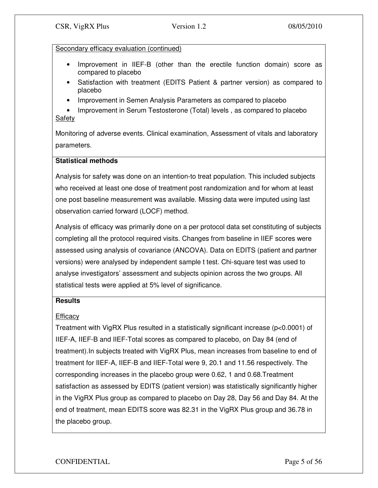# Secondary efficacy evaluation (continued)

- Improvement in IIEF-B (other than the erectile function domain) score as compared to placebo
- Satisfaction with treatment (EDITS Patient & partner version) as compared to placebo
- Improvement in Semen Analysis Parameters as compared to placebo

• Improvement in Serum Testosterone (Total) levels, as compared to placebo Safety

Monitoring of adverse events. Clinical examination, Assessment of vitals and laboratory parameters.

# **Statistical methods**

Analysis for safety was done on an intention-to treat population. This included subjects who received at least one dose of treatment post randomization and for whom at least one post baseline measurement was available. Missing data were imputed using last observation carried forward (LOCF) method.

Analysis of efficacy was primarily done on a per protocol data set constituting of subjects completing all the protocol required visits. Changes from baseline in IIEF scores were assessed using analysis of covariance (ANCOVA). Data on EDITS (patient and partner versions) were analysed by independent sample t test. Chi-square test was used to analyse investigators' assessment and subjects opinion across the two groups. All statistical tests were applied at 5% level of significance.

# **Results**

# **Efficacy**

Treatment with VigRX Plus resulted in a statistically significant increase (p<0.0001) of IIEF-A, IIEF-B and IIEF-Total scores as compared to placebo, on Day 84 (end of treatment).In subjects treated with VigRX Plus, mean increases from baseline to end of treatment for IIEF-A, IIEF-B and IIEF-Total were 9, 20.1 and 11.56 respectively. The corresponding increases in the placebo group were 0.62, 1 and 0.68.Treatment satisfaction as assessed by EDITS (patient version) was statistically significantly higher in the VigRX Plus group as compared to placebo on Day 28, Day 56 and Day 84. At the end of treatment, mean EDITS score was 82.31 in the VigRX Plus group and 36.78 in the placebo group.

CONFIDENTIAL Page 5 of 56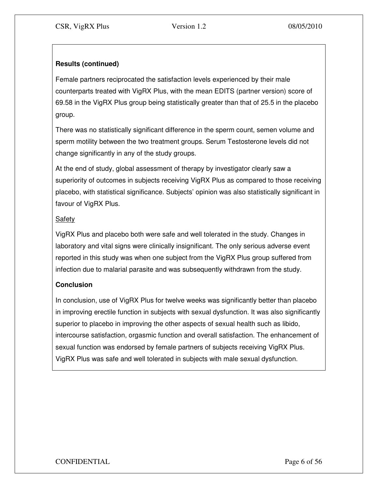# **Results (continued)**

Female partners reciprocated the satisfaction levels experienced by their male counterparts treated with VigRX Plus, with the mean EDITS (partner version) score of 69.58 in the VigRX Plus group being statistically greater than that of 25.5 in the placebo group.

There was no statistically significant difference in the sperm count, semen volume and sperm motility between the two treatment groups. Serum Testosterone levels did not change significantly in any of the study groups.

At the end of study, global assessment of therapy by investigator clearly saw a superiority of outcomes in subjects receiving VigRX Plus as compared to those receiving placebo, with statistical significance. Subjects' opinion was also statistically significant in favour of VigRX Plus.

# Safety

VigRX Plus and placebo both were safe and well tolerated in the study. Changes in laboratory and vital signs were clinically insignificant. The only serious adverse event reported in this study was when one subject from the VigRX Plus group suffered from infection due to malarial parasite and was subsequently withdrawn from the study.

# **Conclusion**

In conclusion, use of VigRX Plus for twelve weeks was significantly better than placebo in improving erectile function in subjects with sexual dysfunction. It was also significantly superior to placebo in improving the other aspects of sexual health such as libido, intercourse satisfaction, orgasmic function and overall satisfaction. The enhancement of sexual function was endorsed by female partners of subjects receiving VigRX Plus. VigRX Plus was safe and well tolerated in subjects with male sexual dysfunction.

# CONFIDENTIAL Page 6 of 56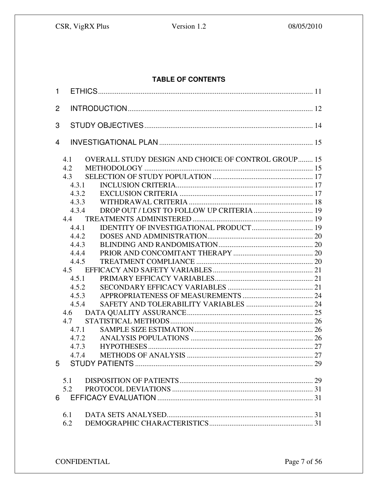# Version 1.2

# TABLE OF CONTENTS

| $\mathbf{1}$ |                                                                          |  |
|--------------|--------------------------------------------------------------------------|--|
| 2            |                                                                          |  |
| 3            |                                                                          |  |
| 4            |                                                                          |  |
|              | <b>OVERALL STUDY DESIGN AND CHOICE OF CONTROL GROUP 15</b><br>4.1<br>4.2 |  |
|              | 4.3                                                                      |  |
|              | 4.3.1                                                                    |  |
|              | 4.3.2                                                                    |  |
|              | 4.3.3                                                                    |  |
|              | 4.3.4                                                                    |  |
|              | 4.4                                                                      |  |
|              | 4.4.1                                                                    |  |
|              | 4.4.2                                                                    |  |
|              | 4.4.3                                                                    |  |
|              | 4.4.4                                                                    |  |
|              | 4.4.5                                                                    |  |
|              |                                                                          |  |
|              | 4.5.1                                                                    |  |
|              | 4.5.2                                                                    |  |
|              | 4.5.3                                                                    |  |
|              | 4.5.4                                                                    |  |
|              | 4.6                                                                      |  |
|              |                                                                          |  |
|              | 4.7.1                                                                    |  |
|              | 4.7.2                                                                    |  |
|              | 4.7.3                                                                    |  |
|              | 4.7.4                                                                    |  |
|              |                                                                          |  |
|              | 5.1                                                                      |  |
|              | 5.2                                                                      |  |
|              | 6                                                                        |  |
|              | 6.1                                                                      |  |
|              | 6.2                                                                      |  |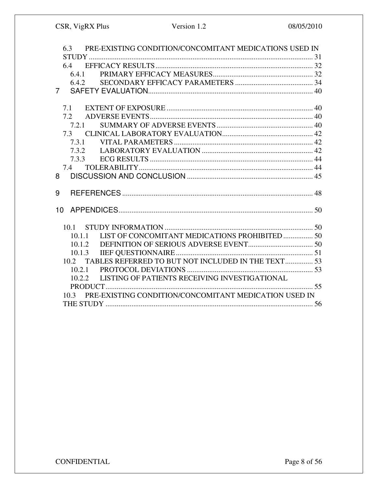| PRE-EXISTING CONDITION/CONCOMITANT MEDICATIONS USED IN<br>6.3 |  |
|---------------------------------------------------------------|--|
|                                                               |  |
| 6.4                                                           |  |
|                                                               |  |
|                                                               |  |
| $7^{\circ}$                                                   |  |
|                                                               |  |
| 7.1                                                           |  |
| 7.2                                                           |  |
| 7.2.1                                                         |  |
| 7.3                                                           |  |
|                                                               |  |
|                                                               |  |
|                                                               |  |
| 7.4                                                           |  |
| 8                                                             |  |
|                                                               |  |
| 9                                                             |  |
|                                                               |  |
| 10                                                            |  |
|                                                               |  |
|                                                               |  |
| LIST OF CONCOMITANT MEDICATIONS PROHIBITED  50<br>10.1.1      |  |
| 10.1.2                                                        |  |
|                                                               |  |
| TABLES REFERRED TO BUT NOT INCLUDED IN THE TEXT 53<br>10.2    |  |
|                                                               |  |
| LISTING OF PATIENTS RECEIVING INVESTIGATIONAL<br>10.2.2       |  |
|                                                               |  |
| 10.3 PRE-EXISTING CONDITION/CONCOMITANT MEDICATION USED IN    |  |
|                                                               |  |
|                                                               |  |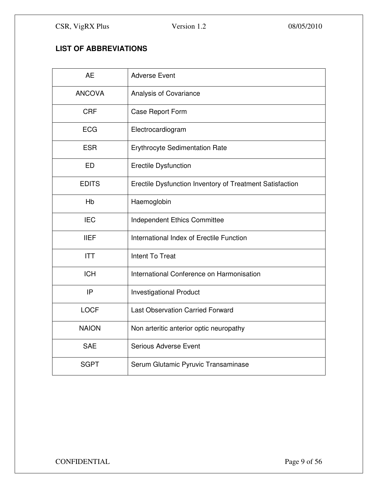# **LIST OF ABBREVIATIONS**

| <b>AE</b>     | <b>Adverse Event</b>                                     |
|---------------|----------------------------------------------------------|
| <b>ANCOVA</b> | Analysis of Covariance                                   |
| <b>CRF</b>    | Case Report Form                                         |
| <b>ECG</b>    | Electrocardiogram                                        |
| <b>ESR</b>    | Erythrocyte Sedimentation Rate                           |
| <b>ED</b>     | <b>Erectile Dysfunction</b>                              |
| <b>EDITS</b>  | Erectile Dysfunction Inventory of Treatment Satisfaction |
| Hb            | Haemoglobin                                              |
| <b>IEC</b>    | Independent Ethics Committee                             |
| <b>IIEF</b>   | International Index of Erectile Function                 |
| <b>ITT</b>    | <b>Intent To Treat</b>                                   |
| <b>ICH</b>    | International Conference on Harmonisation                |
| IP            | <b>Investigational Product</b>                           |
| <b>LOCF</b>   | <b>Last Observation Carried Forward</b>                  |
| <b>NAION</b>  | Non arteritic anterior optic neuropathy                  |
| <b>SAE</b>    | <b>Serious Adverse Event</b>                             |
| <b>SGPT</b>   | Serum Glutamic Pyruvic Transaminase                      |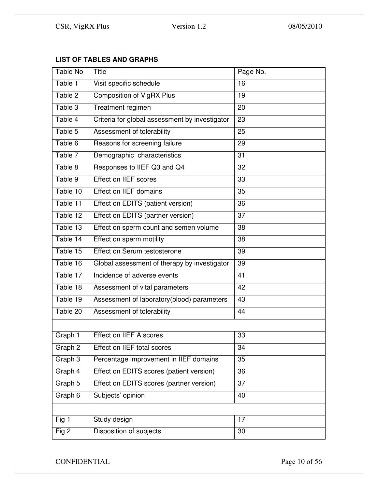# **LIST OF TABLES AND GRAPHS**

| Table No | <b>Title</b>                                   | Page No.        |  |  |
|----------|------------------------------------------------|-----------------|--|--|
| Table 1  | Visit specific schedule                        | 16              |  |  |
| Table 2  | <b>Composition of VigRX Plus</b>               | 19              |  |  |
| Table 3  | Treatment regimen                              | 20              |  |  |
| Table 4  | Criteria for global assessment by investigator | 23              |  |  |
| Table 5  | Assessment of tolerability                     | 25              |  |  |
| Table 6  | Reasons for screening failure                  | 29              |  |  |
| Table 7  | Demographic characteristics                    | 31              |  |  |
| Table 8  | Responses to IIEF Q3 and Q4                    | 32              |  |  |
| Table 9  | <b>Effect on IIEF scores</b>                   | 33              |  |  |
| Table 10 | Effect on IIEF domains                         | $\overline{35}$ |  |  |
| Table 11 | Effect on EDITS (patient version)              | 36              |  |  |
| Table 12 | Effect on EDITS (partner version)              | 37              |  |  |
| Table 13 | Effect on sperm count and semen volume         | 38              |  |  |
| Table 14 | Effect on sperm motility                       | 38              |  |  |
| Table 15 | Effect on Serum testosterone                   | 39              |  |  |
| Table 16 | Global assessment of therapy by investigator   | 39              |  |  |
| Table 17 | Incidence of adverse events                    | 41              |  |  |
| Table 18 | Assessment of vital parameters                 | 42              |  |  |
| Table 19 | Assessment of laboratory(blood) parameters     | 43              |  |  |
| Table 20 | Assessment of tolerability                     | 44              |  |  |
|          |                                                |                 |  |  |
| Graph 1  | Effect on IIEF A scores                        | 33              |  |  |
| Graph 2  | Effect on IIEF total scores                    | 34              |  |  |
| Graph 3  | Percentage improvement in IIEF domains         | 35              |  |  |
| Graph 4  | Effect on EDITS scores (patient version)       | 36              |  |  |
| Graph 5  | Effect on EDITS scores (partner version)       | 37              |  |  |
| Graph 6  | Subjects' opinion                              | 40              |  |  |
|          |                                                |                 |  |  |
| Fig 1    | Study design                                   | 17              |  |  |
| Fig 2    | Disposition of subjects                        | 30              |  |  |

CONFIDENTIAL Page 10 of 56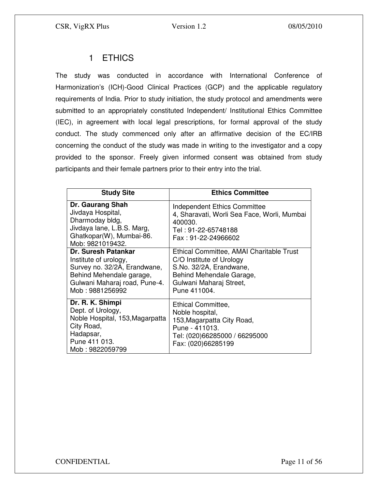# 1 ETHICS

The study was conducted in accordance with International Conference of Harmonization's (ICH)-Good Clinical Practices (GCP) and the applicable regulatory requirements of India. Prior to study initiation, the study protocol and amendments were submitted to an appropriately constituted Independent/ Institutional Ethics Committee (IEC), in agreement with local legal prescriptions, for formal approval of the study conduct. The study commenced only after an affirmative decision of the EC/IRB concerning the conduct of the study was made in writing to the investigator and a copy provided to the sponsor. Freely given informed consent was obtained from study participants and their female partners prior to their entry into the trial.

| <b>Study Site</b>                                                                                                                                                   | <b>Ethics Committee</b>                                                                                                                                                |
|---------------------------------------------------------------------------------------------------------------------------------------------------------------------|------------------------------------------------------------------------------------------------------------------------------------------------------------------------|
| Dr. Gaurang Shah<br>Jivdaya Hospital,<br>Dharmoday bldg,<br>Jivdaya lane, L.B.S. Marg,<br>Ghatkopar(W), Mumbai-86.<br>Mob: 9821019432.                              | <b>Independent Ethics Committee</b><br>4, Sharavati, Worli Sea Face, Worli, Mumbai<br>400030.<br>Tel: 91-22-65748188<br>Fax: 91-22-24966602                            |
| <b>Dr. Suresh Patankar</b><br>Institute of urology,<br>Survey no. 32/2A, Erandwane,<br>Behind Mehendale garage,<br>Gulwani Maharaj road, Pune-4.<br>Mob: 9881256992 | Ethical Committee, AMAI Charitable Trust<br>C/O Institute of Urology<br>S.No. 32/2A, Erandwane,<br>Behind Mehendale Garage,<br>Gulwani Maharaj Street,<br>Pune 411004. |
| Dr. R. K. Shimpi<br>Dept. of Urology,<br>Noble Hospital, 153, Magarpatta<br>City Road,<br>Hadapsar,<br>Pune 411 013.<br>Mob: 9822059799                             | Ethical Committee,<br>Noble hospital,<br>153, Magarpatta City Road,<br>Pune - 411013.<br>Tel: (020)66285000 / 66295000<br>Fax: (020)66285199                           |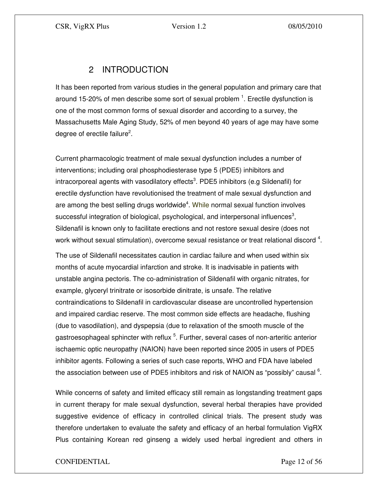# 2 INTRODUCTION

It has been reported from various studies in the general population and primary care that around 15-20% of men describe some sort of sexual problem  $^1$ . Erectile dysfunction is one of the most common forms of sexual disorder and according to a survey, the Massachusetts Male Aging Study, 52% of men beyond 40 years of age may have some degree of erectile failure<sup>2</sup>.

Current pharmacologic treatment of male sexual dysfunction includes a number of interventions; including oral phosphodiesterase type 5 (PDE5) inhibitors and intracorporeal agents with vasodilatory effects<sup>3</sup>. PDE5 inhibitors (e.g Sildenafil) for erectile dysfunction have revolutionised the treatment of male sexual dysfunction and are among the best selling drugs worldwide<sup>4</sup>. While normal sexual function involves successful integration of biological, psychological, and interpersonal influences<sup>3</sup>, Sildenafil is known only to facilitate erections and not restore sexual desire (does not work without sexual stimulation), overcome sexual resistance or treat relational discord  $^4$ .

The use of Sildenafil necessitates caution in cardiac failure and when used within six months of acute myocardial infarction and stroke. It is inadvisable in patients with unstable angina pectoris. The co-administration of Sildenafil with organic nitrates, for example, glyceryl trinitrate or isosorbide dinitrate, is unsafe. The relative contraindications to Sildenafil in cardiovascular disease are uncontrolled hypertension and impaired cardiac reserve. The most common side effects are headache, flushing (due to vasodilation), and dyspepsia (due to relaxation of the smooth muscle of the gastroesophageal sphincter with reflux <sup>5</sup>. Further, several cases of non-arteritic anterior ischaemic optic neuropathy (NAION) have been reported since 2005 in users of PDE5 inhibitor agents. Following a series of such case reports, WHO and FDA have labeled the association between use of PDE5 inhibitors and risk of NAION as "possibly" causal  $6$ .

While concerns of safety and limited efficacy still remain as longstanding treatment gaps in current therapy for male sexual dysfunction, several herbal therapies have provided suggestive evidence of efficacy in controlled clinical trials. The present study was therefore undertaken to evaluate the safety and efficacy of an herbal formulation VigRX Plus containing Korean red ginseng a widely used herbal ingredient and others in

# CONFIDENTIAL Page 12 of 56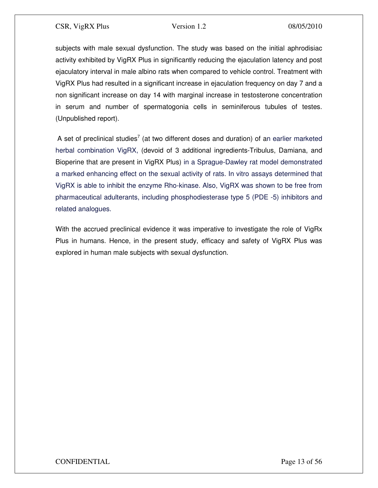subjects with male sexual dysfunction. The study was based on the initial aphrodisiac activity exhibited by VigRX Plus in significantly reducing the ejaculation latency and post ejaculatory interval in male albino rats when compared to vehicle control. Treatment with VigRX Plus had resulted in a significant increase in ejaculation frequency on day 7 and a non significant increase on day 14 with marginal increase in testosterone concentration in serum and number of spermatogonia cells in seminiferous tubules of testes. (Unpublished report).

A set of preclinical studies<sup>7</sup> (at two different doses and duration) of an earlier marketed herbal combination VigRX, (devoid of 3 additional ingredients-Tribulus, Damiana, and Bioperine that are present in VigRX Plus) in a Sprague-Dawley rat model demonstrated a marked enhancing effect on the sexual activity of rats. In vitro assays determined that VigRX is able to inhibit the enzyme Rho-kinase. Also, VigRX was shown to be free from pharmaceutical adulterants, including phosphodiesterase type 5 (PDE -5) inhibitors and related analogues.

With the accrued preclinical evidence it was imperative to investigate the role of VigRx Plus in humans. Hence, in the present study, efficacy and safety of VigRX Plus was explored in human male subjects with sexual dysfunction.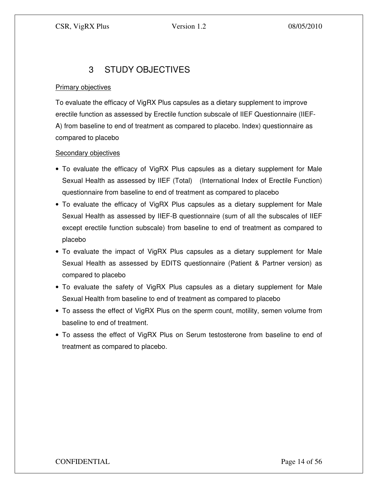# 3 STUDY OBJECTIVES

# **Primary objectives**

To evaluate the efficacy of VigRX Plus capsules as a dietary supplement to improve erectile function as assessed by Erectile function subscale of IIEF Questionnaire (IIEF-A) from baseline to end of treatment as compared to placebo. Index) questionnaire as compared to placebo

# Secondary objectives

- To evaluate the efficacy of VigRX Plus capsules as a dietary supplement for Male Sexual Health as assessed by IIEF (Total) (International Index of Erectile Function) questionnaire from baseline to end of treatment as compared to placebo
- To evaluate the efficacy of VigRX Plus capsules as a dietary supplement for Male Sexual Health as assessed by IIEF-B questionnaire (sum of all the subscales of IIEF except erectile function subscale) from baseline to end of treatment as compared to placebo
- To evaluate the impact of VigRX Plus capsules as a dietary supplement for Male Sexual Health as assessed by EDITS questionnaire (Patient & Partner version) as compared to placebo
- To evaluate the safety of VigRX Plus capsules as a dietary supplement for Male Sexual Health from baseline to end of treatment as compared to placebo
- To assess the effect of VigRX Plus on the sperm count, motility, semen volume from baseline to end of treatment.
- To assess the effect of VigRX Plus on Serum testosterone from baseline to end of treatment as compared to placebo.

CONFIDENTIAL Page 14 of 56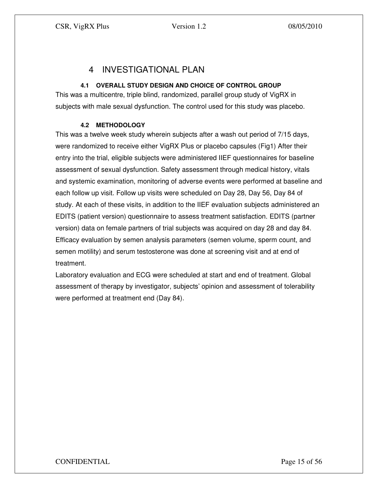# 4 INVESTIGATIONAL PLAN

# **4.1 OVERALL STUDY DESIGN AND CHOICE OF CONTROL GROUP**

This was a multicentre, triple blind, randomized, parallel group study of VigRX in subjects with male sexual dysfunction. The control used for this study was placebo.

# **4.2 METHODOLOGY**

This was a twelve week study wherein subjects after a wash out period of 7/15 days, were randomized to receive either VigRX Plus or placebo capsules (Fig1) After their entry into the trial, eligible subjects were administered IIEF questionnaires for baseline assessment of sexual dysfunction. Safety assessment through medical history, vitals and systemic examination, monitoring of adverse events were performed at baseline and each follow up visit. Follow up visits were scheduled on Day 28, Day 56, Day 84 of study. At each of these visits, in addition to the IIEF evaluation subjects administered an EDITS (patient version) questionnaire to assess treatment satisfaction. EDITS (partner version) data on female partners of trial subjects was acquired on day 28 and day 84. Efficacy evaluation by semen analysis parameters (semen volume, sperm count, and semen motility) and serum testosterone was done at screening visit and at end of treatment.

Laboratory evaluation and ECG were scheduled at start and end of treatment. Global assessment of therapy by investigator, subjects' opinion and assessment of tolerability were performed at treatment end (Day 84).

CONFIDENTIAL Page 15 of 56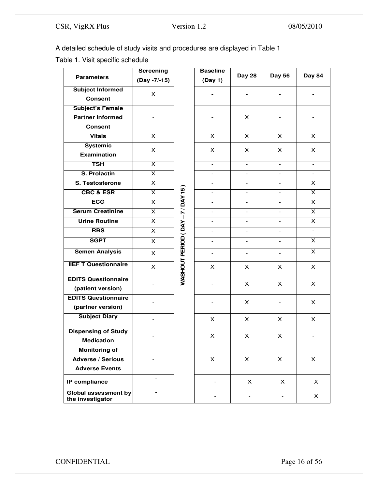A detailed schedule of study visits and procedures are displayed in Table 1

Table 1. Visit specific schedule

|                                          | <b>Screening</b>         |                              | <b>Baseline</b>          |                          |                          |                          |
|------------------------------------------|--------------------------|------------------------------|--------------------------|--------------------------|--------------------------|--------------------------|
| <b>Parameters</b>                        | (Day -7/-15)             |                              | (Day 1)                  | <b>Day 28</b>            | Day 56                   | Day 84                   |
| <b>Subject Informed</b>                  | $\times$                 |                              |                          |                          |                          |                          |
| <b>Consent</b>                           |                          |                              |                          |                          |                          |                          |
| <b>Subject's Female</b>                  |                          |                              |                          |                          |                          |                          |
| <b>Partner Informed</b>                  |                          |                              |                          | X                        |                          |                          |
| <b>Consent</b>                           |                          |                              |                          |                          |                          |                          |
| <b>Vitals</b>                            | X.                       |                              | X                        | X                        | $\mathsf{x}$             | X                        |
| <b>Systemic</b>                          | X                        |                              | X                        | X                        | X.                       | X.                       |
| Examination                              |                          |                              |                          |                          |                          |                          |
| <b>TSH</b>                               | $\overline{\mathsf{x}}$  |                              | $\overline{\phantom{a}}$ | $\overline{\phantom{a}}$ | $\overline{\phantom{0}}$ | $\overline{\phantom{a}}$ |
| S. Prolactin                             | $\overline{\mathsf{x}}$  |                              |                          |                          |                          |                          |
| S. Testosterone                          | $\overline{\mathsf{x}}$  |                              | $\blacksquare$           | $\overline{\phantom{0}}$ | $\overline{\phantom{0}}$ | X                        |
| <b>CBC &amp; ESR</b>                     | $\overline{\mathsf{x}}$  |                              | $\overline{a}$           | $\overline{\phantom{0}}$ | $\overline{a}$           | X                        |
| <b>ECG</b>                               | $\overline{\mathsf{x}}$  |                              | $\overline{a}$           | $\mathbf{r}$             | ÷.                       | X                        |
| <b>Serum Creatinine</b>                  | X.                       |                              | $\overline{a}$           | $\overline{a}$           | $\overline{a}$           | X                        |
| <b>Urine Routine</b>                     | X.                       |                              |                          | $\overline{a}$           | $\overline{\phantom{a}}$ | X                        |
| <b>RBS</b>                               | $\overline{\mathsf{x}}$  |                              | $\overline{\phantom{a}}$ | $\overline{\phantom{0}}$ | $\overline{\phantom{0}}$ | $\overline{\phantom{a}}$ |
| <b>SGPT</b>                              | $\mathsf{X}$             |                              | $\overline{\phantom{a}}$ | $\overline{\phantom{0}}$ | $\overline{\phantom{0}}$ | $\overline{\mathsf{x}}$  |
| <b>Semen Analysis</b>                    | X                        |                              | $\overline{\phantom{a}}$ | $\overline{\phantom{a}}$ | $\overline{\phantom{a}}$ | X                        |
| <b>IIEF T Questionnaire</b>              | X.                       | WASHOUT PERIOD (DAY-7/DAY 15 | X                        | X                        | $\times$                 | X                        |
| <b>EDITS Questionnaire</b>               |                          |                              |                          | X                        | $\times$                 | X                        |
| (patient version)                        |                          |                              |                          |                          |                          |                          |
| <b>EDITS Questionnaire</b>               |                          |                              |                          | X                        |                          | X                        |
| (partner version)                        |                          |                              |                          |                          |                          |                          |
| <b>Subject Diary</b>                     |                          |                              | X                        | X                        | X.                       | X                        |
| <b>Dispensing of Study</b>               |                          |                              | X                        | X                        | X.                       |                          |
| <b>Medication</b>                        |                          |                              |                          |                          |                          |                          |
| <b>Monitoring of</b>                     |                          |                              |                          |                          |                          |                          |
| <b>Adverse / Serious</b>                 |                          |                              | X                        | X                        | X                        | X                        |
| <b>Adverse Events</b>                    |                          |                              |                          |                          |                          |                          |
| IP compliance                            | $\blacksquare$           |                              | $\overline{\phantom{0}}$ | X                        | X                        | X                        |
| Global assessment by<br>the investigator | $\overline{\phantom{a}}$ |                              | $\qquad \qquad -$        | $\overline{\phantom{a}}$ | $\overline{\phantom{0}}$ | X                        |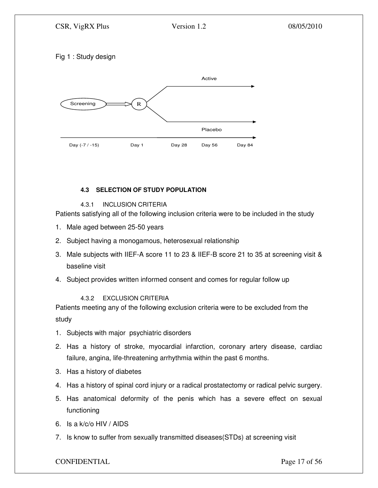# Fig 1 : Study design



# **4.3 SELECTION OF STUDY POPULATION**

# 4.3.1 INCLUSION CRITERIA

Patients satisfying all of the following inclusion criteria were to be included in the study

- 1. Male aged between 25-50 years
- 2. Subject having a monogamous, heterosexual relationship
- 3. Male subjects with IIEF-A score 11 to 23 & IIEF-B score 21 to 35 at screening visit & baseline visit
- 4. Subject provides written informed consent and comes for regular follow up

# 4.3.2 EXCLUSION CRITERIA

Patients meeting any of the following exclusion criteria were to be excluded from the study

- 1. Subjects with major psychiatric disorders
- 2. Has a history of stroke, myocardial infarction, coronary artery disease, cardiac failure, angina, life-threatening arrhythmia within the past 6 months.
- 3. Has a history of diabetes
- 4. Has a history of spinal cord injury or a radical prostatectomy or radical pelvic surgery.
- 5. Has anatomical deformity of the penis which has a severe effect on sexual functioning
- 6. Is a k/c/o HIV / AIDS
- 7. Is know to suffer from sexually transmitted diseases(STDs) at screening visit

# CONFIDENTIAL Page 17 of 56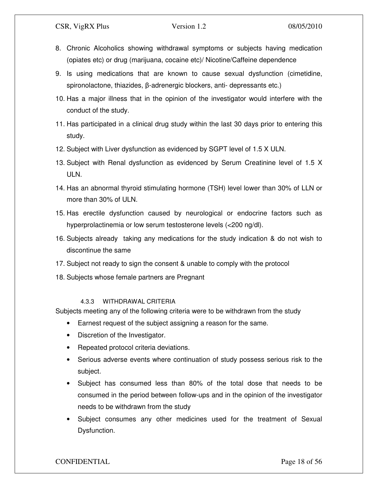- 8. Chronic Alcoholics showing withdrawal symptoms or subjects having medication (opiates etc) or drug (marijuana, cocaine etc)/ Nicotine/Caffeine dependence
- 9. Is using medications that are known to cause sexual dysfunction (cimetidine, spironolactone, thiazides, β-adrenergic blockers, anti- depressants etc.)
- 10. Has a major illness that in the opinion of the investigator would interfere with the conduct of the study.
- 11. Has participated in a clinical drug study within the last 30 days prior to entering this study.
- 12. Subject with Liver dysfunction as evidenced by SGPT level of 1.5 X ULN.
- 13. Subject with Renal dysfunction as evidenced by Serum Creatinine level of 1.5 X ULN.
- 14. Has an abnormal thyroid stimulating hormone (TSH) level lower than 30% of LLN or more than 30% of ULN.
- 15. Has erectile dysfunction caused by neurological or endocrine factors such as hyperprolactinemia or low serum testosterone levels (<200 ng/dl).
- 16. Subjects already taking any medications for the study indication & do not wish to discontinue the same
- 17. Subject not ready to sign the consent & unable to comply with the protocol
- 18. Subjects whose female partners are Pregnant

# 4.3.3 WITHDRAWAL CRITERIA

Subjects meeting any of the following criteria were to be withdrawn from the study

- Earnest request of the subject assigning a reason for the same.
- Discretion of the Investigator.
- Repeated protocol criteria deviations.
- Serious adverse events where continuation of study possess serious risk to the subject.
- Subject has consumed less than 80% of the total dose that needs to be consumed in the period between follow-ups and in the opinion of the investigator needs to be withdrawn from the study
- Subject consumes any other medicines used for the treatment of Sexual Dysfunction.

# CONFIDENTIAL Page 18 of 56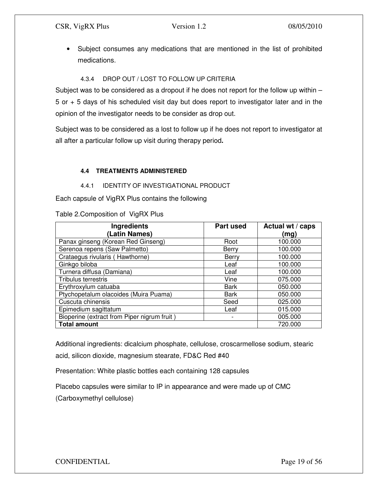• Subject consumes any medications that are mentioned in the list of prohibited medications.

# 4.3.4 DROP OUT / LOST TO FOLLOW UP CRITERIA

Subject was to be considered as a dropout if he does not report for the follow up within – 5 or + 5 days of his scheduled visit day but does report to investigator later and in the opinion of the investigator needs to be consider as drop out.

Subject was to be considered as a lost to follow up if he does not report to investigator at all after a particular follow up visit during therapy period**.** 

# **4.4 TREATMENTS ADMINISTERED**

#### 4.4.1 IDENTITY OF INVESTIGATIONAL PRODUCT

Each capsule of VigRX Plus contains the following

Table 2.Composition of VigRX Plus

| <b>Ingredients</b>                          | <b>Part used</b> | Actual wt / caps |
|---------------------------------------------|------------------|------------------|
| (Latin Names)                               |                  | (mg)             |
| Panax ginseng (Korean Red Ginseng)          | Root             | 100.000          |
| Serenoa repens (Saw Palmetto)               | Berry            | 100.000          |
| Crataegus rivularis (Hawthorne)             | Berry            | 100.000          |
| Ginkgo biloba                               | Leaf             | 100.000          |
| Turnera diffusa (Damiana)                   | Leaf             | 100.000          |
| <b>Tribulus terrestris</b>                  | Vine             | 075.000          |
| Erythroxylum catuaba                        | <b>Bark</b>      | 050.000          |
| Ptychopetalum olacoides (Muira Puama)       | Bark             | 050.000          |
| Cuscuta chinensis                           | Seed             | 025.000          |
| Epimedium sagittatum                        | Leaf             | 015.000          |
| Bioperine (extract from Piper nigrum fruit) | -                | 005.000          |
| <b>Total amount</b>                         |                  | 720.000          |

Additional ingredients: dicalcium phosphate, cellulose, croscarmellose sodium, stearic acid, silicon dioxide, magnesium stearate, FD&C Red #40

Presentation: White plastic bottles each containing 128 capsules

Placebo capsules were similar to IP in appearance and were made up of CMC

(Carboxymethyl cellulose)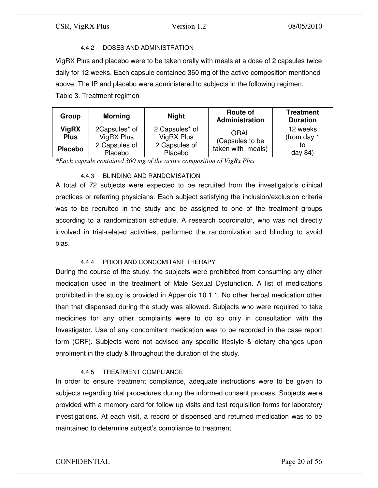# 4.4.2 DOSES AND ADMINISTRATION

VigRX Plus and placebo were to be taken orally with meals at a dose of 2 capsules twice daily for 12 weeks. Each capsule contained 360 mg of the active composition mentioned above. The IP and placebo were administered to subjects in the following regimen. Table 3. Treatment regimen

| Group                       | <b>Morning</b>              | <b>Night</b>                 | <b>Route of</b><br><b>Administration</b> | <b>Treatment</b><br><b>Duration</b> |
|-----------------------------|-----------------------------|------------------------------|------------------------------------------|-------------------------------------|
| <b>VigRX</b><br><b>Plus</b> | 2Capsules* of<br>VigRX Plus | 2 Capsules* of<br>VigRX Plus | ORAL<br>(Capsules to be                  | 12 weeks<br>(from day 1             |
| <b>Placebo</b>              | 2 Capsules of<br>Placebo    | 2 Capsules of<br>Placebo     | taken with meals)                        | tο<br>day 84)                       |

*\*Each capsule contained 360 mg of the active composition of VigRx Plus* 

# 4.4.3 BLINDING AND RANDOMISATION

A total of 72 subjects were expected to be recruited from the investigator's clinical practices or referring physicians. Each subject satisfying the inclusion/exclusion criteria was to be recruited in the study and be assigned to one of the treatment groups according to a randomization schedule. A research coordinator, who was not directly involved in trial-related activities, performed the randomization and blinding to avoid bias.

# 4.4.4 PRIOR AND CONCOMITANT THERAPY

During the course of the study, the subjects were prohibited from consuming any other medication used in the treatment of Male Sexual Dysfunction. A list of medications prohibited in the study is provided in Appendix 10.1.1. No other herbal medication other than that dispensed during the study was allowed. Subjects who were required to take medicines for any other complaints were to do so only in consultation with the Investigator. Use of any concomitant medication was to be recorded in the case report form (CRF). Subjects were not advised any specific lifestyle & dietary changes upon enrolment in the study & throughout the duration of the study.

# 4.4.5 TREATMENT COMPLIANCE

In order to ensure treatment compliance, adequate instructions were to be given to subjects regarding trial procedures during the informed consent process. Subjects were provided with a memory card for follow up visits and test requisition forms for laboratory investigations. At each visit, a record of dispensed and returned medication was to be maintained to determine subject's compliance to treatment.

# CONFIDENTIAL Page 20 of 56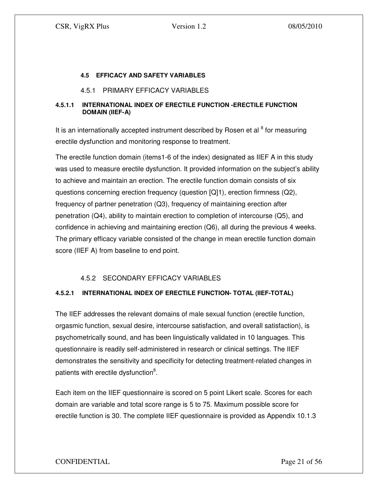#### **4.5 EFFICACY AND SAFETY VARIABLES**

#### 4.5.1 PRIMARY EFFICACY VARIABLES

#### **4.5.1.1 INTERNATIONAL INDEX OF ERECTILE FUNCTION -ERECTILE FUNCTION DOMAIN (IIEF-A)**

It is an internationally accepted instrument described by Rosen et al  $8$  for measuring erectile dysfunction and monitoring response to treatment.

The erectile function domain (items1-6 of the index) designated as IIEF A in this study was used to measure erectile dysfunction. It provided information on the subject's ability to achieve and maintain an erection. The erectile function domain consists of six questions concerning erection frequency (question [Q]1), erection firmness (Q2), frequency of partner penetration (Q3), frequency of maintaining erection after penetration (Q4), ability to maintain erection to completion of intercourse (Q5), and confidence in achieving and maintaining erection (Q6), all during the previous 4 weeks. The primary efficacy variable consisted of the change in mean erectile function domain score (IIEF A) from baseline to end point.

# 4.5.2 SECONDARY EFFICACY VARIABLES

# **4.5.2.1 INTERNATIONAL INDEX OF ERECTILE FUNCTION- TOTAL (IIEF-TOTAL)**

The IIEF addresses the relevant domains of male sexual function (erectile function, orgasmic function, sexual desire, intercourse satisfaction, and overall satisfaction), is psychometrically sound, and has been linguistically validated in 10 languages. This questionnaire is readily self-administered in research or clinical settings. The IIEF demonstrates the sensitivity and specificity for detecting treatment-related changes in patients with erectile dysfunction<sup>8</sup>.

Each item on the IIEF questionnaire is scored on 5 point Likert scale. Scores for each domain are variable and total score range is 5 to 75. Maximum possible score for erectile function is 30. The complete IIEF questionnaire is provided as Appendix 10.1.3

# CONFIDENTIAL Page 21 of 56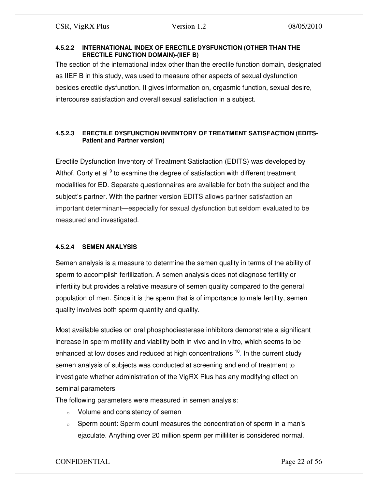#### **4.5.2.2 INTERNATIONAL INDEX OF ERECTILE DYSFUNCTION (OTHER THAN THE ERECTILE FUNCTION DOMAIN)-(IIEF B)**

The section of the international index other than the erectile function domain, designated as IIEF B in this study, was used to measure other aspects of sexual dysfunction besides erectile dysfunction. It gives information on, orgasmic function, sexual desire, intercourse satisfaction and overall sexual satisfaction in a subject.

# **4.5.2.3 ERECTILE DYSFUNCTION INVENTORY OF TREATMENT SATISFACTION (EDITS-Patient and Partner version)**

Erectile Dysfunction Inventory of Treatment Satisfaction (EDITS) was developed by Althof, Corty et al  $9$  to examine the degree of satisfaction with different treatment modalities for ED. Separate questionnaires are available for both the subject and the subject's partner. With the partner version EDITS allows partner satisfaction an important determinant—especially for sexual dysfunction but seldom evaluated to be measured and investigated.

# **4.5.2.4 SEMEN ANALYSIS**

Semen analysis is a measure to determine the semen quality in terms of the ability of sperm to accomplish fertilization. A semen analysis does not diagnose fertility or infertility but provides a relative measure of semen quality compared to the general population of men. Since it is the sperm that is of importance to male fertility, semen quality involves both sperm quantity and quality.

Most available studies on oral phosphodiesterase inhibitors demonstrate a significant increase in sperm motility and viability both in vivo and in vitro, which seems to be enhanced at low doses and reduced at high concentrations <sup>10</sup>. In the current study semen analysis of subjects was conducted at screening and end of treatment to investigate whether administration of the VigRX Plus has any modifying effect on seminal parameters

The following parameters were measured in semen analysis:

- o Volume and consistency of semen
- $\circ$  Sperm count: Sperm count measures the concentration of sperm in a man's ejaculate. Anything over 20 million sperm per milliliter is considered normal.

# CONFIDENTIAL Page 22 of 56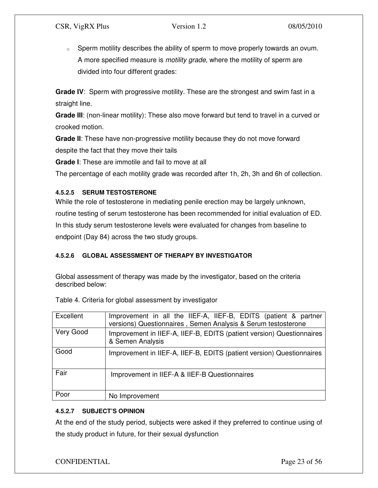$\circ$  Sperm motility describes the ability of sperm to move properly towards an ovum. A more specified measure is *motility grade*, where the motility of sperm are divided into four different grades:

**Grade IV**: Sperm with progressive motility. These are the strongest and swim fast in a straight line.

**Grade III**: (non-linear motility): These also move forward but tend to travel in a curved or crooked motion.

**Grade II**: These have non-progressive motility because they do not move forward despite the fact that they move their tails

**Grade I**: These are immotile and fail to move at all

The percentage of each motility grade was recorded after 1h, 2h, 3h and 6h of collection.

# **4.5.2.5 SERUM TESTOSTERONE**

While the role of testosterone in mediating penile erection may be largely unknown, routine testing of serum testosterone has been recommended for initial evaluation of ED. In this study serum testosterone levels were evaluated for changes from baseline to endpoint (Day 84) across the two study groups.

# **4.5.2.6 GLOBAL ASSESSMENT OF THERAPY BY INVESTIGATOR**

Global assessment of therapy was made by the investigator, based on the criteria described below:

| Excellent                                                                                              | Improvement in all the IIEF-A, IIEF-B, EDITS (patient & partner<br>versions) Questionnaires, Semen Analysis & Serum testosterone |  |  |  |  |
|--------------------------------------------------------------------------------------------------------|----------------------------------------------------------------------------------------------------------------------------------|--|--|--|--|
| Very Good<br>Improvement in IIEF-A, IIEF-B, EDITS (patient version) Questionnaires<br>& Semen Analysis |                                                                                                                                  |  |  |  |  |
| Good                                                                                                   | Improvement in IIEF-A, IIEF-B, EDITS (patient version) Questionnaires                                                            |  |  |  |  |
| Fair                                                                                                   | Improvement in IIEF-A & IIEF-B Questionnaires                                                                                    |  |  |  |  |
| Poor                                                                                                   | No Improvement                                                                                                                   |  |  |  |  |

Table 4. Criteria for global assessment by investigator

# **4.5.2.7 SUBJECT'S OPINION**

At the end of the study period, subjects were asked if they preferred to continue using of the study product in future, for their sexual dysfunction

# CONFIDENTIAL Page 23 of 56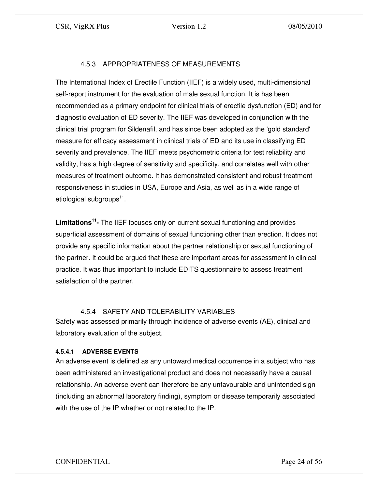# 4.5.3 APPROPRIATENESS OF MEASUREMENTS

The International Index of Erectile Function (IIEF) is a widely used, multi-dimensional self-report instrument for the evaluation of male sexual function. It is has been recommended as a primary endpoint for clinical trials of erectile dysfunction (ED) and for diagnostic evaluation of ED severity. The IIEF was developed in conjunction with the clinical trial program for Sildenafil, and has since been adopted as the 'gold standard' measure for efficacy assessment in clinical trials of ED and its use in classifying ED severity and prevalence. The IIEF meets psychometric criteria for test reliability and validity, has a high degree of sensitivity and specificity, and correlates well with other measures of treatment outcome. It has demonstrated consistent and robust treatment responsiveness in studies in USA, Europe and Asia, as well as in a wide range of etiological subgroups<sup>11</sup>.

**Limitations<sup>11</sup> -** The IIEF focuses only on current sexual functioning and provides superficial assessment of domains of sexual functioning other than erection. It does not provide any specific information about the partner relationship or sexual functioning of the partner. It could be argued that these are important areas for assessment in clinical practice. It was thus important to include EDITS questionnaire to assess treatment satisfaction of the partner.

# 4.5.4 SAFETY AND TOLERABILITY VARIABLES

Safety was assessed primarily through incidence of adverse events (AE), clinical and laboratory evaluation of the subject.

#### **4.5.4.1 ADVERSE EVENTS**

An adverse event is defined as any untoward medical occurrence in a subject who has been administered an investigational product and does not necessarily have a causal relationship. An adverse event can therefore be any unfavourable and unintended sign (including an abnormal laboratory finding), symptom or disease temporarily associated with the use of the IP whether or not related to the IP.

# CONFIDENTIAL Page 24 of 56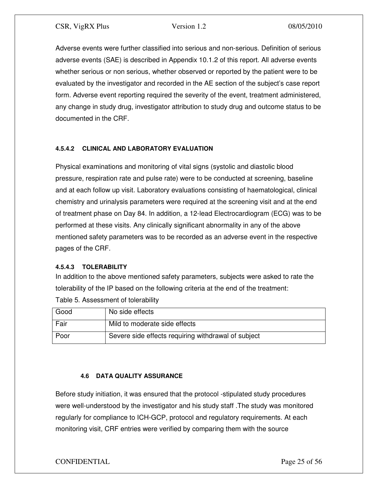Adverse events were further classified into serious and non-serious. Definition of serious adverse events (SAE) is described in Appendix 10.1.2 of this report. All adverse events whether serious or non serious, whether observed or reported by the patient were to be evaluated by the investigator and recorded in the AE section of the subject's case report form. Adverse event reporting required the severity of the event, treatment administered, any change in study drug, investigator attribution to study drug and outcome status to be documented in the CRF.

# **4.5.4.2 CLINICAL AND LABORATORY EVALUATION**

Physical examinations and monitoring of vital signs (systolic and diastolic blood pressure, respiration rate and pulse rate) were to be conducted at screening, baseline and at each follow up visit. Laboratory evaluations consisting of haematological, clinical chemistry and urinalysis parameters were required at the screening visit and at the end of treatment phase on Day 84. In addition, a 12-lead Electrocardiogram (ECG) was to be performed at these visits. Any clinically significant abnormality in any of the above mentioned safety parameters was to be recorded as an adverse event in the respective pages of the CRF.

# **4.5.4.3 TOLERABILITY**

In addition to the above mentioned safety parameters, subjects were asked to rate the tolerability of the IP based on the following criteria at the end of the treatment:

| Good | No side effects                                     |
|------|-----------------------------------------------------|
| Fair | Mild to moderate side effects                       |
| Poor | Severe side effects requiring withdrawal of subject |

Table 5. Assessment of tolerability

# **4.6 DATA QUALITY ASSURANCE**

Before study initiation, it was ensured that the protocol -stipulated study procedures were well-understood by the investigator and his study staff .The study was monitored regularly for compliance to ICH-GCP, protocol and regulatory requirements. At each monitoring visit, CRF entries were verified by comparing them with the source

# CONFIDENTIAL Page 25 of 56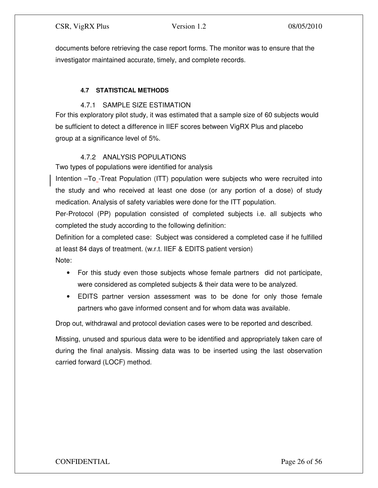documents before retrieving the case report forms. The monitor was to ensure that the investigator maintained accurate, timely, and complete records.

# **4.7 STATISTICAL METHODS**

# 4.7.1 SAMPLE SIZE ESTIMATION

For this exploratory pilot study, it was estimated that a sample size of 60 subjects would be sufficient to detect a difference in IIEF scores between VigRX Plus and placebo group at a significance level of 5%.

# 4.7.2 ANALYSIS POPULATIONS

Two types of populations were identified for analysis

Intention –To<sub>-</sub>Treat Population (ITT) population were subjects who were recruited into the study and who received at least one dose (or any portion of a dose) of study medication. Analysis of safety variables were done for the ITT population.

Per-Protocol (PP) population consisted of completed subjects i.e. all subjects who completed the study according to the following definition:

Definition for a completed case: Subject was considered a completed case if he fulfilled at least 84 days of treatment. (w.r.t. IIEF & EDITS patient version)

Note:

- For this study even those subjects whose female partners did not participate, were considered as completed subjects & their data were to be analyzed.
- EDITS partner version assessment was to be done for only those female partners who gave informed consent and for whom data was available.

Drop out, withdrawal and protocol deviation cases were to be reported and described.

Missing, unused and spurious data were to be identified and appropriately taken care of during the final analysis. Missing data was to be inserted using the last observation carried forward (LOCF) method.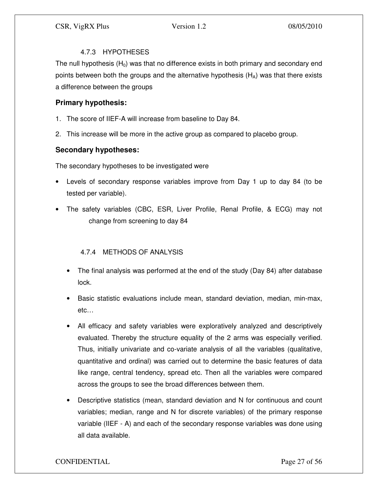# 4.7.3 HYPOTHESES

The null hypothesis  $(H_0)$  was that no difference exists in both primary and secondary end points between both the groups and the alternative hypothesis  $(H<sub>A</sub>)$  was that there exists a difference between the groups

# **Primary hypothesis:**

- 1. The score of IIEF-A will increase from baseline to Day 84.
- 2. This increase will be more in the active group as compared to placebo group.

# **Secondary hypotheses:**

The secondary hypotheses to be investigated were

- Levels of secondary response variables improve from Day 1 up to day 84 (to be tested per variable).
- The safety variables (CBC, ESR, Liver Profile, Renal Profile, & ECG) may not change from screening to day 84

# 4.7.4 METHODS OF ANALYSIS

- The final analysis was performed at the end of the study (Day 84) after database lock.
- Basic statistic evaluations include mean, standard deviation, median, min-max, etc…
- All efficacy and safety variables were exploratively analyzed and descriptively evaluated. Thereby the structure equality of the 2 arms was especially verified. Thus, initially univariate and co-variate analysis of all the variables (qualitative, quantitative and ordinal) was carried out to determine the basic features of data like range, central tendency, spread etc. Then all the variables were compared across the groups to see the broad differences between them.
- Descriptive statistics (mean, standard deviation and N for continuous and count variables; median, range and N for discrete variables) of the primary response variable (IIEF - A) and each of the secondary response variables was done using all data available.

# CONFIDENTIAL Page 27 of 56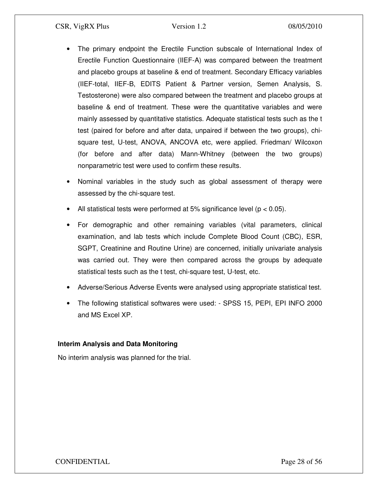- The primary endpoint the Erectile Function subscale of International Index of Erectile Function Questionnaire (IIEF-A) was compared between the treatment and placebo groups at baseline & end of treatment. Secondary Efficacy variables (IIEF-total, IIEF-B, EDITS Patient & Partner version, Semen Analysis, S. Testosterone) were also compared between the treatment and placebo groups at baseline & end of treatment. These were the quantitative variables and were mainly assessed by quantitative statistics. Adequate statistical tests such as the t test (paired for before and after data, unpaired if between the two groups), chisquare test, U-test, ANOVA, ANCOVA etc, were applied. Friedman/ Wilcoxon (for before and after data) Mann-Whitney (between the two groups) nonparametric test were used to confirm these results.
- Nominal variables in the study such as global assessment of therapy were assessed by the chi-square test.
- All statistical tests were performed at 5% significance level ( $p < 0.05$ ).
- For demographic and other remaining variables (vital parameters, clinical examination, and lab tests which include Complete Blood Count (CBC), ESR, SGPT, Creatinine and Routine Urine) are concerned, initially univariate analysis was carried out. They were then compared across the groups by adequate statistical tests such as the t test, chi-square test, U-test, etc.
- Adverse/Serious Adverse Events were analysed using appropriate statistical test.
- The following statistical softwares were used: SPSS 15, PEPI, EPI INFO 2000 and MS Excel XP.

# **Interim Analysis and Data Monitoring**

No interim analysis was planned for the trial.

CONFIDENTIAL Page 28 of 56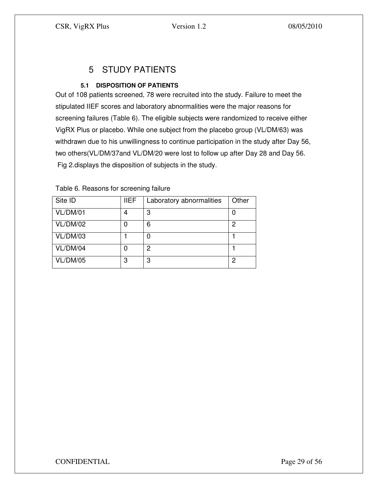# 5 STUDY PATIENTS

# **5.1 DISPOSITION OF PATIENTS**

Out of 108 patients screened, 78 were recruited into the study. Failure to meet the stipulated IIEF scores and laboratory abnormalities were the major reasons for screening failures (Table 6). The eligible subjects were randomized to receive either VigRX Plus or placebo. While one subject from the placebo group (VL/DM/63) was withdrawn due to his unwillingness to continue participation in the study after Day 56, two others(VL/DM/37and VL/DM/20 were lost to follow up after Day 28 and Day 56. Fig 2.displays the disposition of subjects in the study.

| Site ID  | <b>IIEF</b> | Laboratory abnormalities | Other |
|----------|-------------|--------------------------|-------|
| VL/DM/01 | 4           | 3                        | O     |
| VL/DM/02 |             | 6                        | 2     |
| VL/DM/03 |             |                          |       |
| VL/DM/04 |             | っ                        |       |
| VL/DM/05 | 3           | 3                        | ႒     |

Table 6. Reasons for screening failure

CONFIDENTIAL Page 29 of 56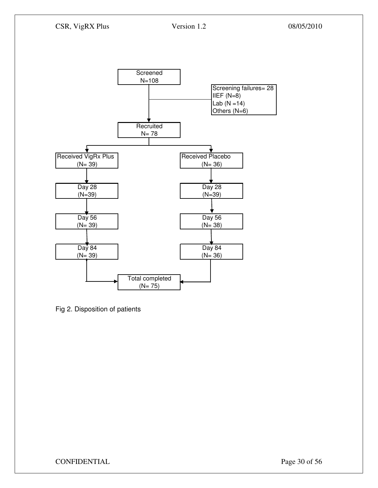

Fig 2. Disposition of patients

CONFIDENTIAL Page 30 of 56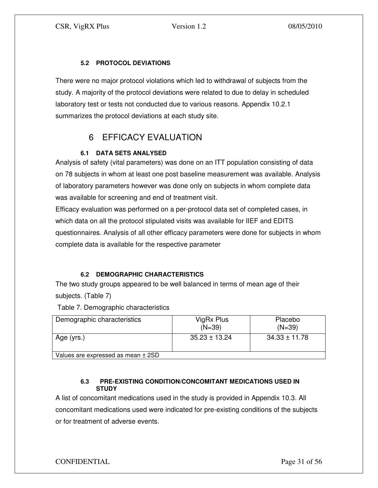# **5.2 PROTOCOL DEVIATIONS**

There were no major protocol violations which led to withdrawal of subjects from the study. A majority of the protocol deviations were related to due to delay in scheduled laboratory test or tests not conducted due to various reasons. Appendix 10.2.1 summarizes the protocol deviations at each study site.

# 6 EFFICACY EVALUATION

# **6.1 DATA SETS ANALYSED**

Analysis of safety (vital parameters) was done on an ITT population consisting of data on 78 subjects in whom at least one post baseline measurement was available. Analysis of laboratory parameters however was done only on subjects in whom complete data was available for screening and end of treatment visit.

Efficacy evaluation was performed on a per-protocol data set of completed cases, in which data on all the protocol stipulated visits was available for IIEF and EDITS questionnaires. Analysis of all other efficacy parameters were done for subjects in whom complete data is available for the respective parameter

# **6.2 DEMOGRAPHIC CHARACTERISTICS**

The two study groups appeared to be well balanced in terms of mean age of their subjects. (Table 7)

Table 7. Demographic characteristics

| Demographic characteristics        | VigRx Plus<br>$(N=39)$ | Placebo<br>$(N=39)$ |
|------------------------------------|------------------------|---------------------|
| Age (yrs.)                         | $35.23 \pm 13.24$      | $34.33 \pm 11.78$   |
| Values are expressed as mean ± 2SD |                        |                     |

# **6.3 PRE-EXISTING CONDITION/CONCOMITANT MEDICATIONS USED IN STUDY**

A list of concomitant medications used in the study is provided in Appendix 10.3. All concomitant medications used were indicated for pre-existing conditions of the subjects or for treatment of adverse events.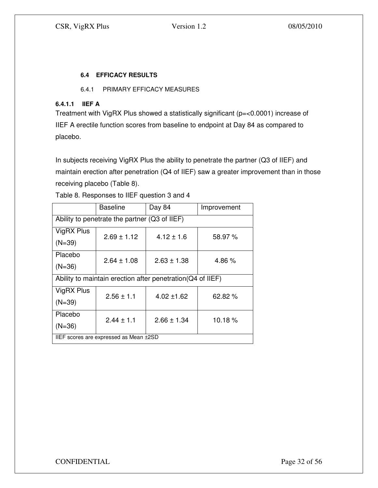# **6.4 EFFICACY RESULTS**

# 6.4.1 PRIMARY EFFICACY MEASURES

# **6.4.1.1 IIEF A**

Treatment with VigRX Plus showed a statistically significant (p=<0.0001) increase of IIEF A erectile function scores from baseline to endpoint at Day 84 as compared to placebo.

In subjects receiving VigRX Plus the ability to penetrate the partner (Q3 of IIEF) and maintain erection after penetration (Q4 of IIEF) saw a greater improvement than in those receiving placebo (Table 8).

|                                               | <b>Baseline</b> | Day 84                                                     | Improvement |  |  |  |  |
|-----------------------------------------------|-----------------|------------------------------------------------------------|-------------|--|--|--|--|
| Ability to penetrate the partner (Q3 of IIEF) |                 |                                                            |             |  |  |  |  |
| VigRX Plus                                    | $2.69 \pm 1.12$ | $4.12 \pm 1.6$                                             | 58.97 %     |  |  |  |  |
| $(N=39)$                                      |                 |                                                            |             |  |  |  |  |
| Placebo                                       | $2.64 \pm 1.08$ | $2.63 \pm 1.38$                                            | 4.86%       |  |  |  |  |
| $(N=36)$                                      |                 |                                                            |             |  |  |  |  |
|                                               |                 | Ability to maintain erection after penetration(Q4 of IIEF) |             |  |  |  |  |
| VigRX Plus                                    | $2.56 \pm 1.1$  | $4.02 \pm 1.62$                                            | 62.82 %     |  |  |  |  |
| $(N=39)$                                      |                 |                                                            |             |  |  |  |  |
| Placebo                                       | $2.44 \pm 1.1$  | $2.66 \pm 1.34$                                            | 10.18%      |  |  |  |  |
| $(N=36)$                                      |                 |                                                            |             |  |  |  |  |
| IIEF scores are expressed as Mean ±2SD        |                 |                                                            |             |  |  |  |  |

Table 8. Responses to IIEF question 3 and 4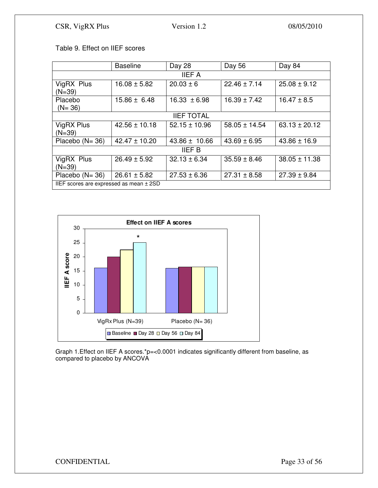# Table 9. Effect on IIEF scores

|                                           | <b>Baseline</b>   | Day 28            | Day 56            | Day 84            |  |  |  |  |
|-------------------------------------------|-------------------|-------------------|-------------------|-------------------|--|--|--|--|
| <b>IIEF A</b>                             |                   |                   |                   |                   |  |  |  |  |
| VigRX Plus<br>$(N=39)$                    | $16.08 \pm 5.82$  | $20.03 \pm 6$     | $22.46 \pm 7.14$  | $25.08 \pm 9.12$  |  |  |  |  |
| Placebo<br>$(N = 36)$                     | $15.86 \pm 6.48$  | $16.33 \pm 6.98$  | $16.39 \pm 7.42$  | $16.47 \pm 8.5$   |  |  |  |  |
| <b>IIEF TOTAL</b>                         |                   |                   |                   |                   |  |  |  |  |
| VigRX Plus<br>$(N=39)$                    | $42.56 \pm 10.18$ | $52.15 \pm 10.96$ | $58.05 \pm 14.54$ | $63.13 \pm 20.12$ |  |  |  |  |
| Placebo $(N = 36)$                        | $42.47 \pm 10.20$ | $43.86 \pm 10.66$ | $43.69 \pm 6.95$  | $43.86 \pm 16.9$  |  |  |  |  |
|                                           |                   | <b>IIEF B</b>     |                   |                   |  |  |  |  |
| VigRX Plus<br>$(N=39)$                    | $26.49 \pm 5.92$  | $32.13 \pm 6.34$  | $35.59 \pm 8.46$  | $38.05 \pm 11.38$ |  |  |  |  |
| Placebo $(N=36)$                          | $26.61 \pm 5.82$  | $27.53 \pm 6.36$  | $27.31 \pm 8.58$  | $27.39 \pm 9.84$  |  |  |  |  |
| IIEF scores are expressed as mean $± 2SD$ |                   |                   |                   |                   |  |  |  |  |



Graph 1.Effect on IIEF A scores.\*p=<0.0001 indicates significantly different from baseline, as compared to placebo by ANCOVA

# CONFIDENTIAL Page 33 of 56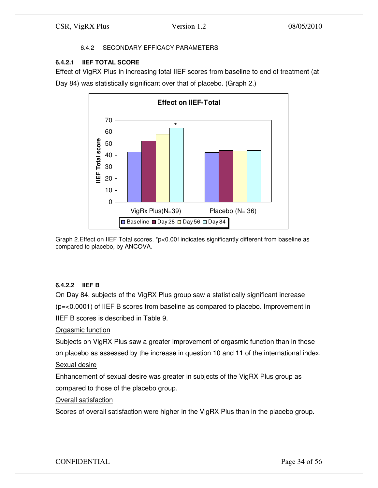# 6.4.2 SECONDARY EFFICACY PARAMETERS

# **6.4.2.1 IIEF TOTAL SCORE**

Effect of VigRX Plus in increasing total IIEF scores from baseline to end of treatment (at Day 84) was statistically significant over that of placebo. (Graph 2.)





# **6.4.2.2 IIEF B**

On Day 84, subjects of the VigRX Plus group saw a statistically significant increase (p=<0.0001) of IIEF B scores from baseline as compared to placebo. Improvement in IIEF B scores is described in Table 9.

# Orgasmic function

Subjects on VigRX Plus saw a greater improvement of orgasmic function than in those on placebo as assessed by the increase in question 10 and 11 of the international index.

# Sexual desire

Enhancement of sexual desire was greater in subjects of the VigRX Plus group as compared to those of the placebo group.

# Overall satisfaction

Scores of overall satisfaction were higher in the VigRX Plus than in the placebo group.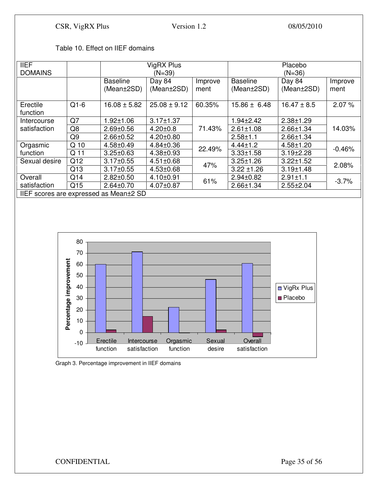|  | Table 10. Effect on IIEF domains |
|--|----------------------------------|
|--|----------------------------------|

| <b>IIEF</b>                            |                |                  | VigRX Plus       |         |                  | Placebo         |          |  |
|----------------------------------------|----------------|------------------|------------------|---------|------------------|-----------------|----------|--|
| <b>DOMAINS</b>                         |                |                  | $(N=39)$         |         | $(N=36)$         |                 |          |  |
|                                        |                | <b>Baseline</b>  | Day 84           | Improve | <b>Baseline</b>  | Day 84          | Improve  |  |
|                                        |                | (Mean±2SD)       | (Mean±2SD)       | ment    | (Mean±2SD)       | (Mean±2SD)      | ment     |  |
|                                        |                |                  |                  |         |                  |                 |          |  |
| Erectile                               | $Q1-6$         | $16.08 \pm 5.82$ | $25.08 \pm 9.12$ | 60.35%  | $15.86 \pm 6.48$ | $16.47 \pm 8.5$ | 2.07%    |  |
| function                               |                |                  |                  |         |                  |                 |          |  |
| Intercourse                            | Q7             | $1.92 \pm 1.06$  | $3.17 \pm 1.37$  |         | $1.94 \pm 2.42$  | $2.38 + 1.29$   |          |  |
| satisfaction                           | Q8             | $2.69 \pm 0.56$  | $4.20 \pm 0.8$   | 71.43%  | $2.61 \pm 1.08$  | $2.66 \pm 1.34$ | 14.03%   |  |
|                                        | Q <sub>9</sub> | $2.66 \pm 0.52$  | $4.20 \pm 0.80$  |         | $2.58 + 1.1$     | $2.66 \pm 1.34$ |          |  |
| Orgasmic                               | Q 10           | $4.58 \pm 0.49$  | $4.84 \pm 0.36$  | 22.49%  | $4.44 \pm 1.2$   | $4.58 \pm 1.20$ |          |  |
| function                               | Q 11           | $3.25 \pm 0.63$  | $4.38 \pm 0.93$  |         | $3.33 \pm 1.58$  | $3.19 \pm 2.28$ | $-0.46%$ |  |
| Sexual desire                          | Q12            | $3.17 \pm 0.55$  | $4.51 \pm 0.68$  | 47%     | $3.25 \pm 1.26$  | $3.22 \pm 1.52$ |          |  |
|                                        | Q13            | $3.17 \pm 0.55$  | $4.53 \pm 0.68$  |         | $3.22 \pm 1.26$  | $3.19 \pm 1.48$ | 2.08%    |  |
| Overall                                | Q14            | $2.82 \pm 0.50$  | $4.10 \pm 0.91$  |         | $2.94 \pm 0.82$  | $2.91 \pm 1.1$  |          |  |
| satisfaction                           | Q15            | $2.64 \pm 0.70$  | 4.07±0.87        | 61%     | $2.66 \pm 1.34$  | $2.55 \pm 2.04$ | $-3.7%$  |  |
| IIEF scores are expressed as Mean±2 SD |                |                  |                  |         |                  |                 |          |  |





# CONFIDENTIAL Page 35 of 56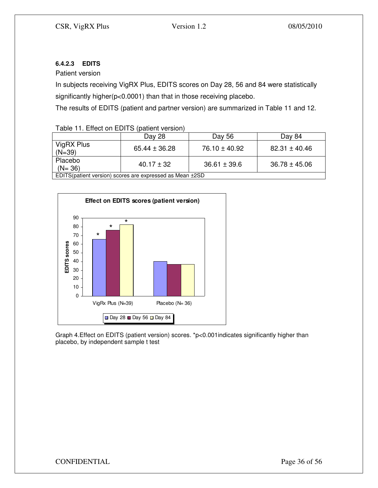# **6.4.2.3 EDITS**

Patient version

In subjects receiving VigRX Plus, EDITS scores on Day 28, 56 and 84 were statistically significantly higher(p<0.0001) than that in those receiving placebo.

The results of EDITS (patient and partner version) are summarized in Table 11 and 12.

# Table 11. Effect on EDITS (patient version)

|                                                          | Day 28            | Day 56            | Day 84            |  |  |  |
|----------------------------------------------------------|-------------------|-------------------|-------------------|--|--|--|
| VigRX Plus<br>$(N=39)$                                   | $65.44 \pm 36.28$ | $76.10 \pm 40.92$ | $82.31 \pm 40.46$ |  |  |  |
| Placebo<br>$(N = 36)$                                    | $40.17 + 32$      | $36.61 \pm 39.6$  | $36.78 \pm 45.06$ |  |  |  |
| EDITS(patient version) scores are expressed as Mean ±2SD |                   |                   |                   |  |  |  |



Graph 4.Effect on EDITS (patient version) scores. \*p<0.001indicates significantly higher than placebo, by independent sample t test

CONFIDENTIAL Page 36 of 56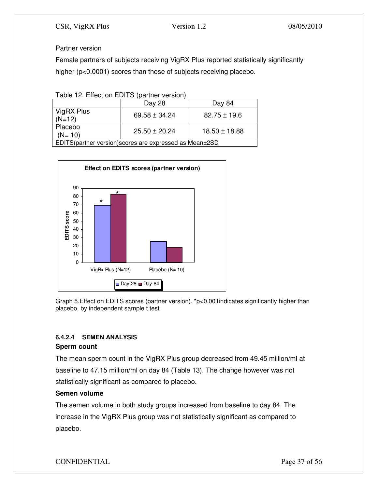# Partner version

Female partners of subjects receiving VigRX Plus reported statistically significantly higher (p<0.0001) scores than those of subjects receiving placebo.

Table 12. Effect on EDITS (partner version)

|                                                         | Day 28          | Day 84           |  |  |  |
|---------------------------------------------------------|-----------------|------------------|--|--|--|
| VigRX Plus<br>$(N=12)$                                  | $69.58 + 34.24$ | $82.75 \pm 19.6$ |  |  |  |
| Placebo<br>$(N = 10)$                                   | $25.50 + 20.24$ | $18.50 + 18.88$  |  |  |  |
| EDITS(partner version) scores are expressed as Mean±2SD |                 |                  |  |  |  |



Graph 5.Effect on EDITS scores (partner version). \*p<0.001indicates significantly higher than placebo, by independent sample t test

# **6.4.2.4 SEMEN ANALYSIS**

# **Sperm count**

The mean sperm count in the VigRX Plus group decreased from 49.45 million/ml at baseline to 47.15 million/ml on day 84 (Table 13). The change however was not statistically significant as compared to placebo.

# **Semen volume**

The semen volume in both study groups increased from baseline to day 84. The increase in the VigRX Plus group was not statistically significant as compared to placebo.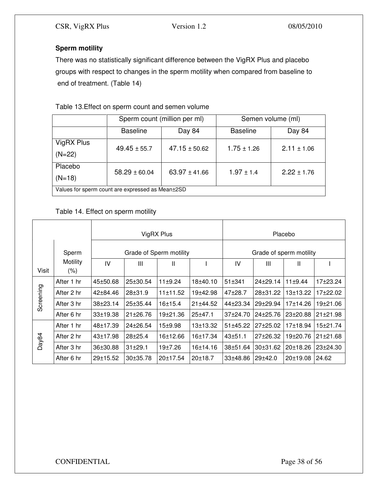# **Sperm motility**

There was no statistically significant difference between the VigRX Plus and placebo groups with respect to changes in the sperm motility when compared from baseline to end of treatment. (Table 14)

# Table 13.Effect on sperm count and semen volume

|                                                        |                           | Sperm count (million per ml) | Semen volume (ml) |                 |  |
|--------------------------------------------------------|---------------------------|------------------------------|-------------------|-----------------|--|
|                                                        | <b>Baseline</b><br>Day 84 |                              | <b>Baseline</b>   | Day 84          |  |
| VigRX Plus                                             | $49.45 \pm 55.7$          | $47.15 \pm 50.62$            | $1.75 \pm 1.26$   | $2.11 \pm 1.06$ |  |
| $(N=22)$                                               |                           |                              |                   |                 |  |
| Placebo                                                | $58.29 \pm 60.04$         | $63.97 \pm 41.66$            | $1.97 \pm 1.4$    | $2.22 \pm 1.76$ |  |
| $(N=18)$                                               |                           |                              |                   |                 |  |
| Values for sperm count are expressed as Mean $\pm$ 2SD |                           |                              |                   |                 |  |

# Table 14. Effect on sperm motility

|           |                     | VigRX Plus              |                |             |             |                         | Placebo      |                |                |
|-----------|---------------------|-------------------------|----------------|-------------|-------------|-------------------------|--------------|----------------|----------------|
|           | Sperm               | Grade of Sperm motility |                |             |             | Grade of sperm motility |              |                |                |
| Visit     | Motility<br>$(\% )$ | IV                      | $\mathbf{III}$ | Ш           |             | IV                      | Ш            | Ш              |                |
|           | After 1 hr          | 45±50.68                | $25 \pm 30.54$ | 11±9.24     | 18±40.10    | $51 + 341$              | $24 + 29.14$ | 11±9.44        | 17±23.24       |
| Screening | After 2 hr          | 42±84.46                | $28 + 31.9$    | 11±11.52    | 19±42.98    | 47±28.7                 | 28±31.22     | 13±13.22       | 17±22.02       |
|           | After 3 hr          | $38 + 23.14$            | $25 \pm 35.44$ | 16±15.4     | 21±44.52    | 44±23.34                | 29±29.94     | 17±14.26       | 19±21.06       |
|           | After 6 hr          | $33 + 19.38$            | $21 \pm 26.76$ | 19±21.36    | $25 + 47.1$ | $37+24.70$              | $24+25.76$   | $23 \pm 20.88$ | $21 \pm 21.98$ |
|           | After 1 hr          | 48±17.39                | $24 \pm 26.54$ | $15 + 9.98$ | 13±13.32    | 51±45.22                | $27 + 25.02$ | 17±18.94       | 15±21.74       |
| Day84     | After 2 hr          | $43 \pm 17.98$          | $28 + 25.4$    | 16±12.66    | 16±17.34    | $43 + 51.1$             | $27+26.32$   | 19±20.76       | $21 \pm 21.68$ |
|           | After 3 hr          | 36±30.88                | $31 \pm 29.1$  | 19±7.26     | 16±14.16    | $38 + 51.64$            | 30±31.62     | 20±18.26       | 23±24.30       |
|           | After 6 hr          | 29±15.52                | $30+35.78$     | 20±17.54    | 20±18.7     | $33 + 48.86$            | 29±42.0      | 20±19.08       | 24.62          |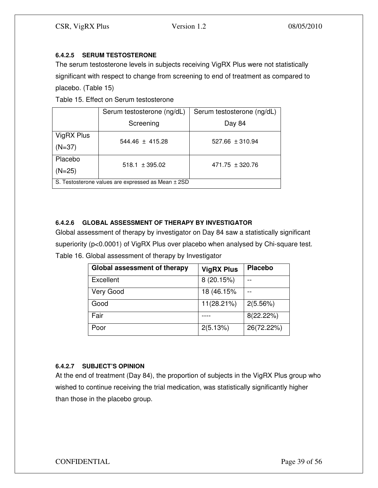# **6.4.2.5 SERUM TESTOSTERONE**

The serum testosterone levels in subjects receiving VigRX Plus were not statistically significant with respect to change from screening to end of treatment as compared to placebo. (Table 15)

Table 15. Effect on Serum testosterone

|                                                    | Serum testosterone (ng/dL) | Serum testosterone (ng/dL) |  |  |  |
|----------------------------------------------------|----------------------------|----------------------------|--|--|--|
|                                                    | Screening                  | Day 84                     |  |  |  |
| VigRX Plus                                         | $544.46 \pm 415.28$        | $527.66 \pm 310.94$        |  |  |  |
| $(N=37)$                                           |                            |                            |  |  |  |
| Placebo                                            | $518.1 \pm 395.02$         | $471.75 \pm 320.76$        |  |  |  |
| $(N=25)$                                           |                            |                            |  |  |  |
| S. Testosterone values are expressed as Mean ± 2SD |                            |                            |  |  |  |

# **6.4.2.6 GLOBAL ASSESSMENT OF THERAPY BY INVESTIGATOR**

Global assessment of therapy by investigator on Day 84 saw a statistically significant superiority (p<0.0001) of VigRX Plus over placebo when analysed by Chi-square test. Table 16. Global assessment of therapy by Investigator

| Global assessment of therapy | <b>VigRX Plus</b> | <b>Placebo</b> |
|------------------------------|-------------------|----------------|
| Excellent                    | 8 (20.15%)        |                |
| Very Good                    | 18 (46.15%        |                |
| Good                         | 11(28.21%)        | 2(5.56%)       |
| Fair                         |                   | 8(22.22%)      |
| Poor                         | 2(5.13%)          | 26(72.22%)     |

# **6.4.2.7 SUBJECT'S OPINION**

At the end of treatment (Day 84), the proportion of subjects in the VigRX Plus group who wished to continue receiving the trial medication, was statistically significantly higher than those in the placebo group.

# CONFIDENTIAL Page 39 of 56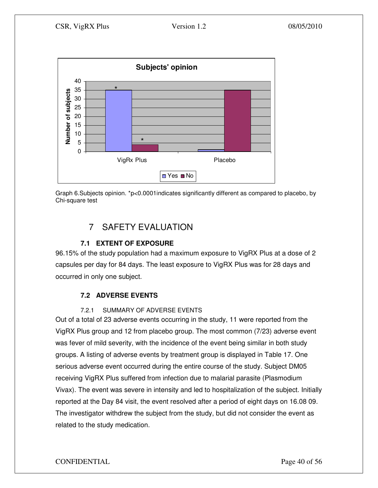

Graph 6.Subjects opinion. \*p<0.0001indicates significantly different as compared to placebo, by Chi-square test

# 7 SAFETY EVALUATION

# **7.1 EXTENT OF EXPOSURE**

96.15% of the study population had a maximum exposure to VigRX Plus at a dose of 2 capsules per day for 84 days. The least exposure to VigRX Plus was for 28 days and occurred in only one subject.

# **7.2 ADVERSE EVENTS**

# 7.2.1 SUMMARY OF ADVERSE EVENTS

Out of a total of 23 adverse events occurring in the study, 11 were reported from the VigRX Plus group and 12 from placebo group. The most common (7/23) adverse event was fever of mild severity, with the incidence of the event being similar in both study groups. A listing of adverse events by treatment group is displayed in Table 17. One serious adverse event occurred during the entire course of the study. Subject DM05 receiving VigRX Plus suffered from infection due to malarial parasite (Plasmodium Vivax). The event was severe in intensity and led to hospitalization of the subject. Initially reported at the Day 84 visit, the event resolved after a period of eight days on 16.08 09. The investigator withdrew the subject from the study, but did not consider the event as related to the study medication.

CONFIDENTIAL Page 40 of 56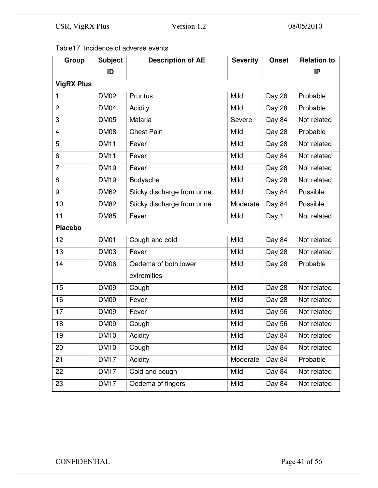Table17. Incidence of adverse events

| Group                   | <b>Subject</b> | <b>Description of AE</b>    | <b>Severity</b> | <b>Onset</b> | <b>Relation to</b> |
|-------------------------|----------------|-----------------------------|-----------------|--------------|--------------------|
|                         | ID             |                             |                 |              | IP                 |
| <b>VigRX Plus</b>       |                |                             |                 |              |                    |
| $\mathbf{1}$            | <b>DM02</b>    | Pruritus                    | Mild            | Day 28       | Probable           |
| $\overline{2}$          | <b>DM04</b>    | Acidity                     | <b>Mild</b>     | Day 28       | Probable           |
| 3                       | <b>DM05</b>    | <b>Malaria</b>              | Severe          | Day 84       | Not related        |
| $\overline{\mathbf{4}}$ | <b>DM08</b>    | <b>Chest Pain</b>           | <b>Mild</b>     | Day 28       | Probable           |
| 5                       | <b>DM11</b>    | Fever                       | Mild            | Day 28       | Not related        |
| 6                       | <b>DM11</b>    | Fever                       | Mild            | Day 84       | Not related        |
| $\overline{7}$          | <b>DM19</b>    | Fever                       | Mild            | Day 28       | Not related        |
| 8                       | <b>DM19</b>    | Bodyache                    | Mild            | Day 28       | Not related        |
| 9                       | <b>DM62</b>    | Sticky discharge from urine | Mild            | Day 84       | Possible           |
| 10                      | <b>DM82</b>    | Sticky discharge from urine | Moderate        | Day 84       | Possible           |
| $\overline{11}$         | <b>DM85</b>    | Fever                       | Mild            | Day 1        | Not related        |
| <b>Placebo</b>          |                |                             |                 |              |                    |
| 12                      | <b>DM01</b>    | Cough and cold              | Mild            | Day 84       | Not related        |
| 13                      | <b>DM03</b>    | Fever                       | Mild            | Day 28       | Not related        |
| 14                      | <b>DM06</b>    | Oedema of both lower        | Mild            | Day 28       | Probable           |
|                         |                | extremities                 |                 |              |                    |
| 15                      | <b>DM09</b>    | Cough                       | Mild            | Day 28       | Not related        |
| 16                      | <b>DM09</b>    | Fever                       | Mild            | Day 28       | Not related        |
| 17                      | <b>DM09</b>    | Fever                       | Mild            | Day 56       | Not related        |
| 18                      | <b>DM09</b>    | Cough                       | Mild            | Day 56       | Not related        |
| 19                      | <b>DM10</b>    | Acidity                     | Mild            | Day 84       | Not related        |
| 20                      | <b>DM10</b>    | Cough                       | Mild            | Day 84       | Not related        |
| 21                      | <b>DM17</b>    | Acidity                     | Moderate        | Day 84       | Probable           |
| 22                      | <b>DM17</b>    | Cold and cough              | Mild            | Day 84       | Not related        |
| 23                      | <b>DM17</b>    | Oedema of fingers           | Mild            | Day 84       | Not related        |

# CONFIDENTIAL Page 41 of 56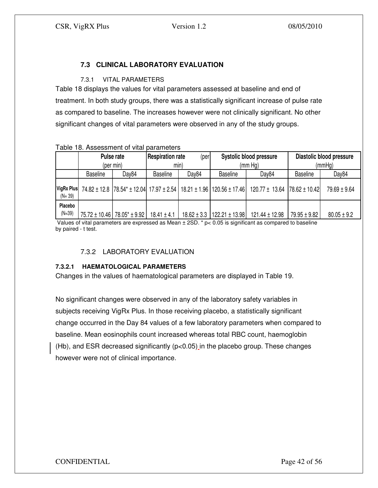# **7.3 CLINICAL LABORATORY EVALUATION**

# 7.3.1 VITAL PARAMETERS

Table 18 displays the values for vital parameters assessed at baseline and end of treatment. In both study groups, there was a statistically significant increase of pulse rate as compared to baseline. The increases however were not clinically significant. No other significant changes of vital parameters were observed in any of the study groups.

| rabic To. Assessment or vital barameters |                   |               |                         |                 |                                                                      |                                      |                  |                          |
|------------------------------------------|-------------------|---------------|-------------------------|-----------------|----------------------------------------------------------------------|--------------------------------------|------------------|--------------------------|
|                                          | Pulse rate        |               | <b>Respiration rate</b> | (per            |                                                                      | Systolic blood pressure              |                  | Diastolic blood pressure |
|                                          | (per min)         |               | min)                    |                 | (mm Hq)                                                              |                                      | (mmHq)           |                          |
|                                          | <b>Baseline</b>   | Dav84         | <b>Baseline</b>         | Day84           | <b>Baseline</b>                                                      | Dav84                                | <b>Baseline</b>  | Day84                    |
| <b>VigRx Plus</b><br>$(N = 39)$          |                   |               |                         |                 | 74.82 ± 12.8 78.54* ± 12.04 17.97 ± 2.54 18.21 ± 1.96 120.56 ± 17.46 | $120.77 \pm 13.64$ 78.62 $\pm$ 10.42 |                  | $79.69 \pm 9.64$         |
| Placebo<br>$(N=39)$                      | $75.72 \pm 10.46$ | 78.05* ± 9.92 | $18.41 \pm 4.1$         | $18.62 \pm 3.3$ | $122.21 \pm 13.98$                                                   | $121.44 \pm 12.98$                   | $79.95 \pm 9.82$ | $80.05 \pm 9.2$          |

#### Table 18. Assessment of vital parameters

Values of vital parameters are expressed as Mean  $\pm$  2SD.  $*$  p< 0.05 is significant as compared to baseline by paired - t test.

# 7.3.2 LABORATORY EVALUATION

# **7.3.2.1 HAEMATOLOGICAL PARAMETERS**

Changes in the values of haematological parameters are displayed in Table 19.

No significant changes were observed in any of the laboratory safety variables in subjects receiving VigRx Plus. In those receiving placebo, a statistically significant change occurred in the Day 84 values of a few laboratory parameters when compared to baseline. Mean eosinophils count increased whereas total RBC count, haemoglobin (Hb), and ESR decreased significantly (p<0.05) in the placebo group. These changes however were not of clinical importance.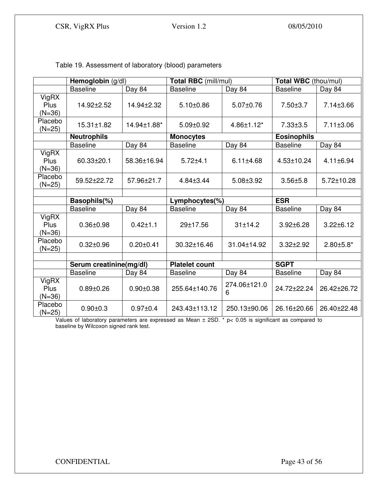|                           | Hemoglobin (g/dl)       |                 | Total RBC (mill/mul)         |                   | Total WBC (thou/mul) |                  |
|---------------------------|-------------------------|-----------------|------------------------------|-------------------|----------------------|------------------|
|                           | <b>Baseline</b>         | Day 84          | <b>Baseline</b>              | Day 84            | <b>Baseline</b>      | Day 84           |
| VigRX<br>Plus<br>$(N=36)$ | 14.92±2.52              | 14.94±2.32      | $5.10 \pm 0.86$              | 5.07±0.76         | $7.50 \pm 3.7$       | 7.14±3.66        |
| Placebo<br>(N=25)         | 15.31±1.82              | 14.94±1.88*     | $5.09 \pm 0.92$              | 4.86±1.12*        | $7.33 \pm 3.5$       | 7.11±3.06        |
|                           | <b>Neutrophils</b>      |                 | <b>Monocytes</b>             |                   | <b>Eosinophils</b>   |                  |
|                           | <b>Baseline</b>         | Day 84          | <b>Baseline</b>              | Day 84            | <b>Baseline</b>      | Day 84           |
| VigRX<br>Plus<br>$(N=36)$ | 60.33±20.1              | 58.36±16.94     | $5.72 + 4.1$                 | $6.11 \pm 4.68$   | 4.53±10.24           | 4.11±6.94        |
| Placebo<br>$(N=25)$       | 59.52±22.72             | 57.96±21.7      | 4.84±3.44                    | $5.08 \pm 3.92$   | $3.56 + 5.8$         | 5.72±10.28       |
|                           |                         |                 |                              |                   |                      |                  |
|                           | Basophils(%)            |                 | <b>ESR</b><br>Lymphocytes(%) |                   |                      |                  |
|                           | <b>Baseline</b>         | Day 84          | <b>Baseline</b>              | Day 84            | <b>Baseline</b>      | Day 84           |
| VigRX<br>Plus<br>$(N=36)$ | $0.36 \pm 0.98$         | $0.42 + 1.1$    | 29±17.56                     | 31±14.2           | $3.92 \pm 6.28$      | $3.22 \pm 6.12$  |
| Placebo<br>$(N=25)$       | $0.32 \pm 0.96$         | $0.20 \pm 0.41$ | 30.32±16.46                  | 31.04±14.92       | $3.32 \pm 2.92$      | $2.80 \pm 5.8^*$ |
|                           |                         |                 |                              |                   |                      |                  |
|                           | Serum creatinine(mg/dl) |                 | <b>Platelet count</b>        |                   | <b>SGPT</b>          |                  |
|                           | <b>Baseline</b>         | Day 84          | <b>Baseline</b>              | Day 84            | <b>Baseline</b>      | Day 84           |
| VigRX<br>Plus<br>$(N=36)$ | $0.89 + 0.26$           | $0.90 \pm 0.38$ | 255.64±140.76                | 274.06±121.0<br>6 | 24.72±22.24          | 26.42±26.72      |
| Placebo<br>$(N=25)$       | $0.90 + 0.3$            | $0.97 + 0.4$    | 243.43±113.12                | 250.13±90.06      | 26.16±20.66          | 26.40±22.48      |

Table 19. Assessment of laboratory (blood) parameters

Values of laboratory parameters are expressed as Mean ± 2SD. \* p< 0.05 is significant as compared to baseline by Wilcoxon signed rank test.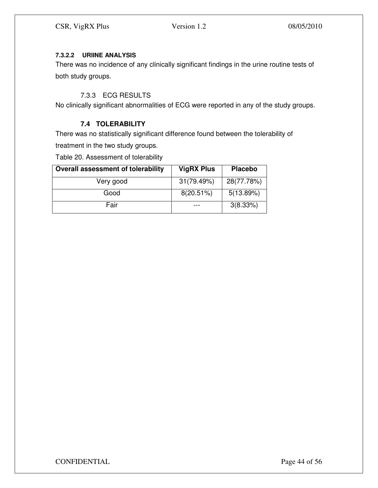# **7.3.2.2 URIINE ANALYSIS**

There was no incidence of any clinically significant findings in the urine routine tests of both study groups.

# 7.3.3 ECG RESULTS

No clinically significant abnormalities of ECG were reported in any of the study groups.

# **7.4 TOLERABILITY**

There was no statistically significant difference found between the tolerability of treatment in the two study groups.

Table 20. Assessment of tolerability

| <b>Overall assessment of tolerability</b> | <b>VigRX Plus</b> | <b>Placebo</b> |  |
|-------------------------------------------|-------------------|----------------|--|
| Very good                                 | 31(79.49%)        | 28(77.78%)     |  |
| Good                                      | $8(20.51\%)$      | 5(13.89%)      |  |
| Fair                                      |                   | 3(8.33%)       |  |

CONFIDENTIAL Page 44 of 56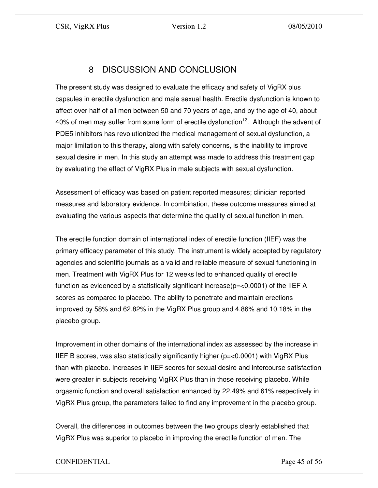# 8 DISCUSSION AND CONCLUSION

The present study was designed to evaluate the efficacy and safety of VigRX plus capsules in erectile dysfunction and male sexual health. Erectile dysfunction is known to affect over half of all men between 50 and 70 years of age, and by the age of 40, about 40% of men may suffer from some form of erectile dysfunction<sup>12</sup>. Although the advent of PDE5 inhibitors has revolutionized the medical management of sexual dysfunction, a major limitation to this therapy, along with safety concerns, is the inability to improve sexual desire in men. In this study an attempt was made to address this treatment gap by evaluating the effect of VigRX Plus in male subjects with sexual dysfunction.

Assessment of efficacy was based on patient reported measures; clinician reported measures and laboratory evidence. In combination, these outcome measures aimed at evaluating the various aspects that determine the quality of sexual function in men.

The erectile function domain of international index of erectile function (IIEF) was the primary efficacy parameter of this study. The instrument is widely accepted by regulatory agencies and scientific journals as a valid and reliable measure of sexual functioning in men. Treatment with VigRX Plus for 12 weeks led to enhanced quality of erectile function as evidenced by a statistically significant increase( $p=<0.0001$ ) of the IIEF A scores as compared to placebo. The ability to penetrate and maintain erections improved by 58% and 62.82% in the VigRX Plus group and 4.86% and 10.18% in the placebo group.

Improvement in other domains of the international index as assessed by the increase in IIEF B scores, was also statistically significantly higher ( $p = < 0.0001$ ) with VigRX Plus than with placebo. Increases in IIEF scores for sexual desire and intercourse satisfaction were greater in subjects receiving VigRX Plus than in those receiving placebo. While orgasmic function and overall satisfaction enhanced by 22.49% and 61% respectively in VigRX Plus group, the parameters failed to find any improvement in the placebo group.

Overall, the differences in outcomes between the two groups clearly established that VigRX Plus was superior to placebo in improving the erectile function of men. The

# CONFIDENTIAL Page 45 of 56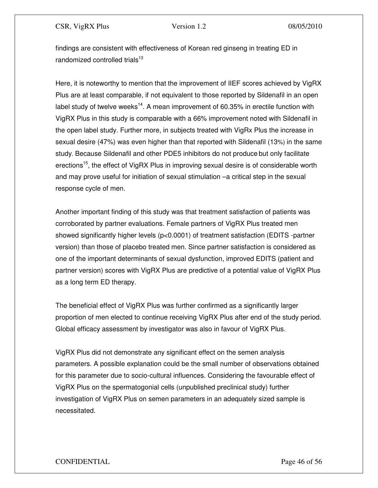findings are consistent with effectiveness of Korean red ginseng in treating ED in randomized controlled trials $^{13}$ 

Here, it is noteworthy to mention that the improvement of IIEF scores achieved by VigRX Plus are at least comparable, if not equivalent to those reported by Sildenafil in an open label study of twelve weeks<sup>14</sup>. A mean improvement of 60.35% in erectile function with VigRX Plus in this study is comparable with a 66% improvement noted with Sildenafil in the open label study. Further more, in subjects treated with VigRx Plus the increase in sexual desire (47%) was even higher than that reported with Sildenafil (13%) in the same study. Because Sildenafil and other PDE5 inhibitors do not produce but only facilitate erections<sup>15</sup>, the effect of VigRX Plus in improving sexual desire is of considerable worth and may prove useful for initiation of sexual stimulation –a critical step in the sexual response cycle of men.

Another important finding of this study was that treatment satisfaction of patients was corroborated by partner evaluations. Female partners of VigRX Plus treated men showed significantly higher levels (p<0.0001) of treatment satisfaction (EDITS -partner version) than those of placebo treated men. Since partner satisfaction is considered as one of the important determinants of sexual dysfunction, improved EDITS (patient and partner version) scores with VigRX Plus are predictive of a potential value of VigRX Plus as a long term ED therapy.

The beneficial effect of VigRX Plus was further confirmed as a significantly larger proportion of men elected to continue receiving VigRX Plus after end of the study period. Global efficacy assessment by investigator was also in favour of VigRX Plus.

VigRX Plus did not demonstrate any significant effect on the semen analysis parameters. A possible explanation could be the small number of observations obtained for this parameter due to socio-cultural influences. Considering the favourable effect of VigRX Plus on the spermatogonial cells (unpublished preclinical study) further investigation of VigRX Plus on semen parameters in an adequately sized sample is necessitated.

# CONFIDENTIAL Page 46 of 56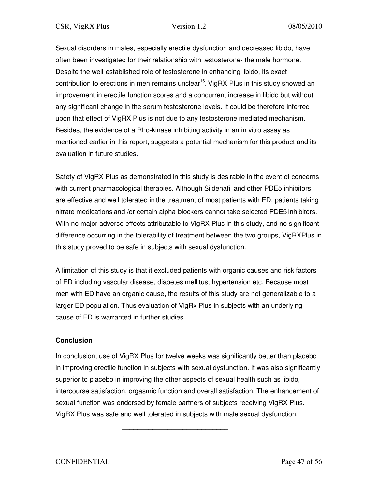Sexual disorders in males, especially erectile dysfunction and decreased libido, have often been investigated for their relationship with testosterone- the male hormone. Despite the well-established role of testosterone in enhancing libido, its exact contribution to erections in men remains unclear<sup>16</sup>. VigRX Plus in this study showed an improvement in erectile function scores and a concurrent increase in libido but without any significant change in the serum testosterone levels. It could be therefore inferred upon that effect of VigRX Plus is not due to any testosterone mediated mechanism. Besides, the evidence of a Rho-kinase inhibiting activity in an in vitro assay as mentioned earlier in this report, suggests a potential mechanism for this product and its evaluation in future studies.

Safety of VigRX Plus as demonstrated in this study is desirable in the event of concerns with current pharmacological therapies. Although Sildenafil and other PDE5 inhibitors are effective and well tolerated in the treatment of most patients with ED, patients taking nitrate medications and /or certain alpha-blockers cannot take selected PDE5 inhibitors. With no major adverse effects attributable to VigRX Plus in this study, and no significant difference occurring in the tolerability of treatment between the two groups, VigRXPlus in this study proved to be safe in subjects with sexual dysfunction.

A limitation of this study is that it excluded patients with organic causes and risk factors of ED including vascular disease, diabetes mellitus, hypertension etc. Because most men with ED have an organic cause, the results of this study are not generalizable to a larger ED population. Thus evaluation of VigRx Plus in subjects with an underlying cause of ED is warranted in further studies.

# **Conclusion**

In conclusion, use of VigRX Plus for twelve weeks was significantly better than placebo in improving erectile function in subjects with sexual dysfunction. It was also significantly superior to placebo in improving the other aspects of sexual health such as libido, intercourse satisfaction, orgasmic function and overall satisfaction. The enhancement of sexual function was endorsed by female partners of subjects receiving VigRX Plus. VigRX Plus was safe and well tolerated in subjects with male sexual dysfunction.

\_\_\_\_\_\_\_\_\_\_\_\_\_\_\_\_\_\_\_\_\_\_\_\_\_\_\_\_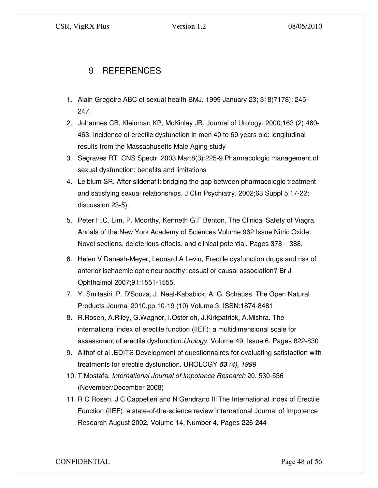# 9 REFERENCES

- 1. Alain Gregoire ABC of sexual health BMJ. 1999 January 23; 318(7178): 245– 247.
- 2. Johannes CB, Kleinman KP, McKinlay JB. Journal of Urology. 2000;163 (2):460- 463. Incidence of erectile dysfunction in men 40 to 69 years old: longitudinal results from the Massachusetts Male Aging study
- 3. Segraves RT. CNS Spectr. 2003 Mar;8(3):225-9.Pharmacologic management of sexual dysfunction: benefits and limitations
- 4. Leiblum SR. After sildenafil: bridging the gap between pharmacologic treatment and satisfying sexual relationships. J Clin Psychiatry. 2002;63 Suppl 5:17-22; discussion 23-5).
- 5. Peter H.C. Lim, P. Moorthy, Kenneth G.F.Benton. The Clinical Safety of Viagra. Annals of the New York Academy of Sciences Volume 962 Issue Nitric Oxide: Novel sections, deleterious effects, and clinical potential. Pages 378 – 388.
- 6. Helen V Danesh-Meyer, Leonard A Levin, Erectile dysfunction drugs and risk of anterior ischaemic optic neuropathy: casual or causal association? Br J Ophthalmol 2007;91:1551-1555.
- 7. Y. Smitasiri, P. D'Souza, J. Neal-Kababick, A. G. Schauss. The Open Natural Products Journal 2010,pp.10-19 (10) Volume 3, ISSN:1874-8481
- 8. R.Rosen, A.Riley, G.Wagner, I.Osterloh, J.Kirkpatrick, A.Mishra. The international index of erectile function (IIEF): a multidimensional scale for assessment of erectile dysfunction.Urology, Volume 49, Issue 6, Pages 822-830
- 9. Althof et al .EDITS Development of questionnaires for evaluating satisfaction with treatments for erectile dysfunction. UROLOGY **53** (4), 1999
- 10. T Mostafa, International Journal of Impotence Research 20, 530-536 (November/December 2008)
- 11. R C Rosen, J C Cappelleri and N Gendrano III The International Index of Erectile Function (IIEF): a state-of-the-science review International Journal of Impotence Research August 2002, Volume 14, Number 4, Pages 226-244

CONFIDENTIAL Page 48 of 56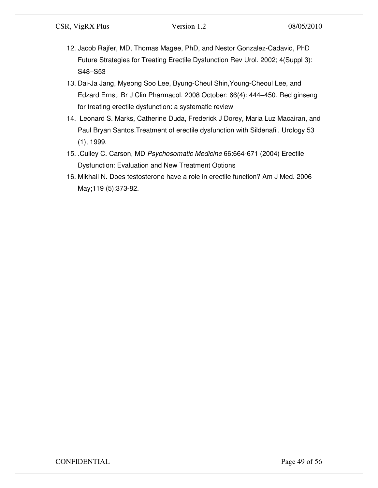- 12. Jacob Rajfer, MD, Thomas Magee, PhD, and Nestor Gonzalez-Cadavid, PhD Future Strategies for Treating Erectile Dysfunction Rev Urol. 2002; 4(Suppl 3): S48–S53
- 13. Dai-Ja Jang, Myeong Soo Lee, Byung-Cheul Shin,Young-Cheoul Lee, and Edzard Ernst, Br J Clin Pharmacol. 2008 October; 66(4): 444–450. Red ginseng for treating erectile dysfunction: a systematic review
- 14. Leonard S. Marks, Catherine Duda, Frederick J Dorey, Maria Luz Macairan, and Paul Bryan Santos.Treatment of erectile dysfunction with Sildenafil. Urology 53 (1), 1999.
- 15. .Culley C. Carson, MD Psychosomatic Medicine 66:664-671 (2004) Erectile Dysfunction: Evaluation and New Treatment Options
- 16. Mikhail N. Does testosterone have a role in erectile function? Am J Med. 2006 May;119 (5):373-82.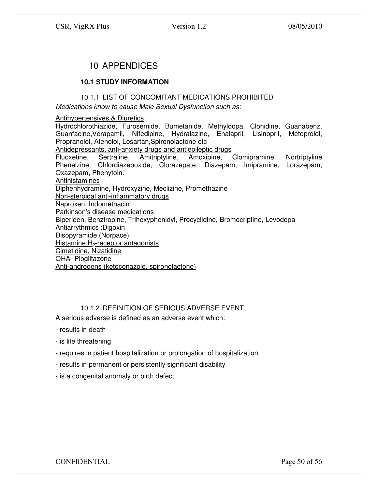# 10 APPENDICES

# **10.1 STUDY INFORMATION**

#### 10.1.1 LIST OF CONCOMITANT MEDICATIONS PROHIBITED

Medications know to cause Male Sexual Dysfunction such as:

#### Antihypertensives & Diuretics:

Hydrochlorothiazide, Furosemide, Bumetanide, Methyldopa, Clonidine, Guanabenz, Guanfacine,Verapamil, Nifedipine, Hydralazine, Enalapril, Lisinopril, Metoprolol, Propranolol, Atenolol, Losartan,Spironolactone etc Antidepressants, anti-anxiety drugs and antiepileptic drugs<br>Fluoxetine. Sertraline. Amitriptyline. Amoxipine. Fluoxetine, Sertraline, Amitriptyline, Amoxipine, Clomipramine, Nortriptyline Phenelzine, Chlordiazepoxide, Clorazepate, Diazepam, Imipramine, Lorazepam, Oxazepam, Phenytoin. Antihistamines Diphenhydramine, Hydroxyzine, Meclizine, Promethazine Non-steroidal anti-inflammatory drugs Naproxen, Indomethacin Parkinson's disease medications Biperiden, Benztropine, Trihexyphenidyl, Procyclidine, Bromocriptine, Levodopa Antiarrythmics :Digoxin Disopyramide (Norpace) Histamine  $H_2$ -receptor antagonists Cimetidine, Nizatidine OHA- Pioglitazone Anti-androgens (ketoconazole, spironolactone)

# 10.1.2 DEFINITION OF SERIOUS ADVERSE EVENT

A serious adverse is defined as an adverse event which:

- results in death
- is life threatening
- requires in patient hospitalization or prolongation of hospitalization
- results in permanent or persistently significant disability
- is a congenital anomaly or birth defect

CONFIDENTIAL Page 50 of 56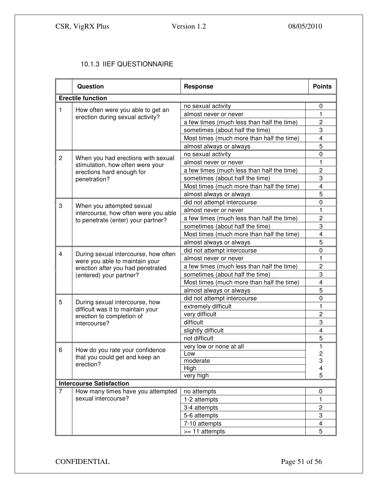# 10.1.3 IIEF QUESTIONNAIRE

|                | <b>Question</b>                                                                                                                        | <b>Response</b>                            | <b>Points</b>           |  |
|----------------|----------------------------------------------------------------------------------------------------------------------------------------|--------------------------------------------|-------------------------|--|
|                | <b>Erectile function</b>                                                                                                               |                                            |                         |  |
| 1              |                                                                                                                                        | no sexual activity                         | 0                       |  |
|                | How often were you able to get an<br>erection during sexual activity?                                                                  | almost never or never                      | 1                       |  |
|                |                                                                                                                                        | a few times (much less than half the time) | $\overline{c}$          |  |
|                |                                                                                                                                        | sometimes (about half the time)            | 3                       |  |
|                |                                                                                                                                        | Most times (much more than half the time)  | 4                       |  |
|                |                                                                                                                                        | almost always or always                    | 5                       |  |
| $\overline{c}$ |                                                                                                                                        | no sexual activity                         | 0                       |  |
|                | When you had erections with sexual<br>stimulation, how often were your                                                                 | almost never or never                      | 1                       |  |
|                | erections hard enough for                                                                                                              | a few times (much less than half the time) | $\overline{2}$          |  |
|                | penetration?                                                                                                                           | sometimes (about half the time)            | 3                       |  |
|                |                                                                                                                                        | Most times (much more than half the time)  | $\overline{\mathbf{4}}$ |  |
|                |                                                                                                                                        | almost always or always                    | 5                       |  |
|                |                                                                                                                                        | did not attempt intercourse                | $\mathbf 0$             |  |
| 3              | When you attempted sexual<br>intercourse, how often were you able                                                                      | almost never or never                      | 1                       |  |
|                | to penetrate (enter) your partner?                                                                                                     | a few times (much less than half the time) | $\overline{2}$          |  |
|                |                                                                                                                                        | sometimes (about half the time)            | 3                       |  |
|                |                                                                                                                                        | Most times (much more than half the time)  | 4                       |  |
|                |                                                                                                                                        | almost always or always                    | 5                       |  |
| $\overline{4}$ |                                                                                                                                        | did not attempt intercourse                | 0                       |  |
|                | During sexual intercourse, how often<br>were you able to maintain your<br>erection after you had penetrated<br>(entered) your partner? | almost never or never                      | 1                       |  |
|                |                                                                                                                                        | a few times (much less than half the time) | $\overline{c}$          |  |
|                |                                                                                                                                        | sometimes (about half the time)            | 3                       |  |
|                |                                                                                                                                        | Most times (much more than half the time)  | $\overline{\mathbf{4}}$ |  |
|                |                                                                                                                                        | almost always or always                    | 5                       |  |
|                |                                                                                                                                        | did not attempt intercourse                | $\mathbf 0$             |  |
| 5              | During sexual intercourse, how<br>difficult was it to maintain your                                                                    | extremely difficult                        | 1                       |  |
|                | erection to completion of<br>intercourse?                                                                                              | very difficult                             | $\overline{2}$          |  |
|                |                                                                                                                                        | difficult                                  | 3                       |  |
|                |                                                                                                                                        | slightly difficult                         | 4                       |  |
|                |                                                                                                                                        | not difficult                              | 5                       |  |
|                |                                                                                                                                        | very low or none at all                    | 1                       |  |
| 6              | How do you rate your confidence                                                                                                        | Low                                        | $\overline{2}$          |  |
|                | that you could get and keep an<br>erection?                                                                                            | moderate                                   | 3                       |  |
|                |                                                                                                                                        | High                                       | 4                       |  |
|                |                                                                                                                                        | very high                                  | 5                       |  |
|                | <b>Intercourse Satisfaction</b>                                                                                                        |                                            |                         |  |
| 7              | How many times have you attempted                                                                                                      | no attempts                                | 0                       |  |
|                | sexual intercourse?                                                                                                                    | 1-2 attempts                               | 1                       |  |
|                |                                                                                                                                        | 3-4 attempts                               | $\overline{c}$          |  |
|                |                                                                                                                                        | 5-6 attempts                               | 3                       |  |
|                |                                                                                                                                        | 7-10 attempts                              | 4                       |  |
|                |                                                                                                                                        | >= 11 attempts                             | 5                       |  |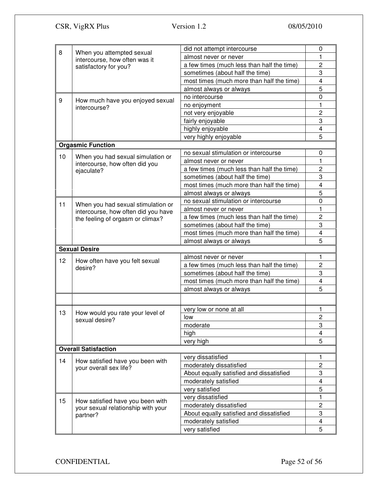| 8                           | When you attempted sexual                                               | did not attempt intercourse                | 0                       |  |  |
|-----------------------------|-------------------------------------------------------------------------|--------------------------------------------|-------------------------|--|--|
|                             | intercourse, how often was it                                           | almost never or never                      | 1                       |  |  |
|                             | satisfactory for you?                                                   | a few times (much less than half the time) | $\overline{c}$          |  |  |
|                             |                                                                         | sometimes (about half the time)            | 3                       |  |  |
|                             |                                                                         | most times (much more than half the time)  | 4                       |  |  |
|                             |                                                                         | almost always or always                    | 5                       |  |  |
| 9                           | How much have you enjoyed sexual                                        | no intercourse                             | 0                       |  |  |
|                             | intercourse?                                                            | no enjoyment                               | 1                       |  |  |
|                             |                                                                         | not very enjoyable                         | $\overline{c}$          |  |  |
|                             |                                                                         | fairly enjoyable                           | 3                       |  |  |
|                             |                                                                         | highly enjoyable                           | 4                       |  |  |
|                             |                                                                         | very highly enjoyable                      | 5                       |  |  |
|                             | <b>Orgasmic Function</b>                                                |                                            |                         |  |  |
| 10                          |                                                                         | no sexual stimulation or intercourse       | 0                       |  |  |
|                             | When you had sexual simulation or<br>intercourse, how often did you     | almost never or never                      | 1                       |  |  |
|                             | ejaculate?                                                              | a few times (much less than half the time) | $\overline{c}$          |  |  |
|                             |                                                                         | sometimes (about half the time)            | 3                       |  |  |
|                             |                                                                         | most times (much more than half the time)  | $\overline{\mathbf{4}}$ |  |  |
|                             |                                                                         | almost always or always                    | 5                       |  |  |
|                             |                                                                         | no sexual stimulation or intercourse       | 0                       |  |  |
| 11                          | When you had sexual stimulation or                                      | almost never or never                      | 1                       |  |  |
|                             | intercourse, how often did you have<br>the feeling of orgasm or climax? | a few times (much less than half the time) | $\overline{c}$          |  |  |
|                             |                                                                         | sometimes (about half the time)            | 3                       |  |  |
|                             |                                                                         | most times (much more than half the time)  | 4                       |  |  |
|                             |                                                                         | almost always or always                    | 5                       |  |  |
|                             | <b>Sexual Desire</b>                                                    |                                            |                         |  |  |
|                             |                                                                         | almost never or never                      | 1                       |  |  |
| 12                          | How often have you felt sexual                                          | a few times (much less than half the time) | $\overline{c}$          |  |  |
|                             | desire?                                                                 | sometimes (about half the time)            | 3                       |  |  |
|                             |                                                                         | most times (much more than half the time)  | 4                       |  |  |
|                             |                                                                         | almost always or always                    | 5                       |  |  |
|                             |                                                                         |                                            |                         |  |  |
|                             |                                                                         |                                            |                         |  |  |
| 13                          | How would you rate your level of                                        | very low or none at all                    | 1                       |  |  |
|                             | sexual desire?                                                          | low                                        | $\overline{c}$          |  |  |
|                             |                                                                         | moderate                                   | 3                       |  |  |
|                             |                                                                         | high                                       | 4                       |  |  |
|                             |                                                                         | very high                                  | 5                       |  |  |
| <b>Overall Satisfaction</b> |                                                                         |                                            |                         |  |  |
| 14                          |                                                                         | very dissatisfied                          | 1                       |  |  |
|                             | How satisfied have you been with<br>your overall sex life?              | moderately dissatisfied                    | $\overline{c}$          |  |  |
|                             |                                                                         | About equally satisfied and dissatisfied   | 3                       |  |  |
|                             |                                                                         | moderately satisfied                       | 4                       |  |  |
|                             |                                                                         | very satisfied                             | 5                       |  |  |
|                             |                                                                         | very dissatisfied                          | 1                       |  |  |
| 15                          | How satisfied have you been with<br>your sexual relationship with your  | moderately dissatisfied                    | $\overline{c}$          |  |  |
|                             | partner?                                                                | About equally satisfied and dissatisfied   | 3                       |  |  |
|                             |                                                                         | moderately satisfied                       | 4                       |  |  |
|                             |                                                                         | very satisfied                             | 5                       |  |  |
|                             |                                                                         |                                            |                         |  |  |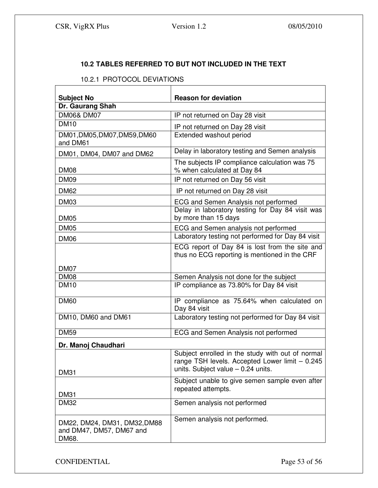# **10.2 TABLES REFERRED TO BUT NOT INCLUDED IN THE TEXT**

# 10.2.1 PROTOCOL DEVIATIONS

| <b>Subject No</b>                                                 | <b>Reason for deviation</b>                                                                                                                |  |  |  |
|-------------------------------------------------------------------|--------------------------------------------------------------------------------------------------------------------------------------------|--|--|--|
| Dr. Gaurang Shah                                                  |                                                                                                                                            |  |  |  |
| <b>DM06&amp; DM07</b>                                             | IP not returned on Day 28 visit                                                                                                            |  |  |  |
| <b>DM10</b>                                                       | IP not returned on Day 28 visit                                                                                                            |  |  |  |
| DM01, DM05, DM07, DM59, DM60<br>and DM61                          | Extended washout period                                                                                                                    |  |  |  |
| DM01, DM04, DM07 and DM62                                         | Delay in laboratory testing and Semen analysis                                                                                             |  |  |  |
| <b>DM08</b>                                                       | The subjects IP compliance calculation was 75<br>% when calculated at Day 84                                                               |  |  |  |
| <b>DM09</b>                                                       | IP not returned on Day 56 visit                                                                                                            |  |  |  |
| <b>DM62</b>                                                       | IP not returned on Day 28 visit                                                                                                            |  |  |  |
| DM03                                                              | ECG and Semen Analysis not performed                                                                                                       |  |  |  |
| <b>DM05</b>                                                       | Delay in laboratory testing for Day 84 visit was<br>by more than 15 days                                                                   |  |  |  |
| <b>DM05</b>                                                       | ECG and Semen analysis not performed                                                                                                       |  |  |  |
| DM <sub>06</sub>                                                  | Laboratory testing not performed for Day 84 visit                                                                                          |  |  |  |
| DM07                                                              | ECG report of Day 84 is lost from the site and<br>thus no ECG reporting is mentioned in the CRF                                            |  |  |  |
| <b>DM08</b>                                                       | Semen Analysis not done for the subject                                                                                                    |  |  |  |
| <b>DM10</b>                                                       | IP compliance as 73.80% for Day 84 visit                                                                                                   |  |  |  |
| <b>DM60</b>                                                       | IP compliance as 75.64% when calculated on<br>Day 84 visit                                                                                 |  |  |  |
| DM10, DM60 and DM61                                               | Laboratory testing not performed for Day 84 visit                                                                                          |  |  |  |
| <b>DM59</b>                                                       | ECG and Semen Analysis not performed                                                                                                       |  |  |  |
| Dr. Manoj Chaudhari                                               |                                                                                                                                            |  |  |  |
| <b>DM31</b>                                                       | Subject enrolled in the study with out of normal<br>range TSH levels. Accepted Lower limit - 0.245<br>units. Subject value $-$ 0.24 units. |  |  |  |
| <b>DM31</b>                                                       | Subject unable to give semen sample even after<br>repeated attempts.                                                                       |  |  |  |
| <b>DM32</b>                                                       | Semen analysis not performed                                                                                                               |  |  |  |
| DM22, DM24, DM31, DM32, DM88<br>and DM47, DM57, DM67 and<br>DM68. | Semen analysis not performed.                                                                                                              |  |  |  |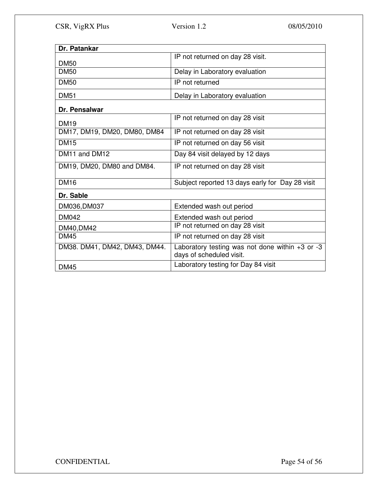| Dr. Patankar                  |                                                                                 |  |  |  |
|-------------------------------|---------------------------------------------------------------------------------|--|--|--|
|                               | IP not returned on day 28 visit.                                                |  |  |  |
| <b>DM50</b>                   |                                                                                 |  |  |  |
| <b>DM50</b>                   | Delay in Laboratory evaluation                                                  |  |  |  |
| <b>DM50</b>                   | IP not returned                                                                 |  |  |  |
| <b>DM51</b>                   | Delay in Laboratory evaluation                                                  |  |  |  |
| Dr. Pensalwar                 |                                                                                 |  |  |  |
| <b>DM19</b>                   | IP not returned on day 28 visit                                                 |  |  |  |
| DM17, DM19, DM20, DM80, DM84  | IP not returned on day 28 visit                                                 |  |  |  |
| <b>DM15</b>                   | IP not returned on day 56 visit                                                 |  |  |  |
| DM11 and DM12                 | Day 84 visit delayed by 12 days                                                 |  |  |  |
| DM19, DM20, DM80 and DM84.    | IP not returned on day 28 visit                                                 |  |  |  |
| <b>DM16</b>                   | Subject reported 13 days early for Day 28 visit                                 |  |  |  |
| Dr. Sable                     |                                                                                 |  |  |  |
| DM036, DM037                  | Extended wash out period                                                        |  |  |  |
| <b>DM042</b>                  | Extended wash out period                                                        |  |  |  |
| DM40, DM42                    | IP not returned on day 28 visit                                                 |  |  |  |
| <b>DM45</b>                   | IP not returned on day 28 visit                                                 |  |  |  |
| DM38. DM41, DM42, DM43, DM44. | Laboratory testing was not done within $+3$ or $-3$<br>days of scheduled visit. |  |  |  |
| <b>DM45</b>                   | Laboratory testing for Day 84 visit                                             |  |  |  |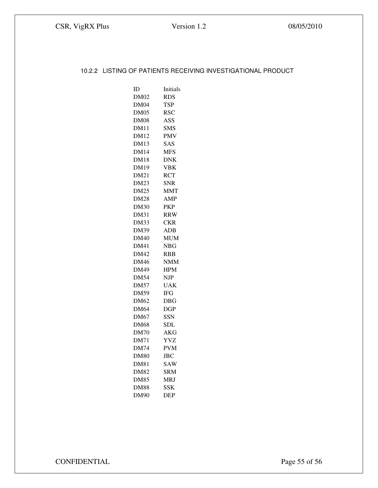#### 10.2.2 LISTING OF PATIENTS RECEIVING INVESTIGATIONAL PRODUCT

| ID          | Initials     |
|-------------|--------------|
| <b>DM02</b> | RDS          |
| DM04        | <b>TSP</b>   |
| DM05        | <b>RSC</b>   |
| <b>DM08</b> | ASS          |
| <b>DM11</b> | <b>SMS</b>   |
| <b>DM12</b> | PMV          |
| <b>DM13</b> | SAS          |
| <b>DM14</b> | MFS          |
| <b>DM18</b> | DNK          |
| DM19        | VBK          |
| DM21        | <b>RCT</b>   |
| <b>DM23</b> | <b>SNR</b>   |
| <b>DM25</b> | MMT          |
| <b>DM28</b> | AMP          |
| <b>DM30</b> | <b>PKP</b>   |
| <b>DM31</b> | <b>RRW</b>   |
| DM33        | <b>CKR</b>   |
| <b>DM39</b> | $_{\rm ADB}$ |
| DM40        | <b>MUM</b>   |
| <b>DM41</b> | NBG          |
| DM42        | RBB          |
| <b>DM46</b> | <b>NMM</b>   |
| DM49        | <b>HPM</b>   |
| <b>DM54</b> | NJP          |
| <b>DM57</b> | UAK          |
| <b>DM59</b> | <b>IFG</b>   |
| DM62        | $_{\rm DBG}$ |
| DM64        | DGP          |
| DM67        | SSN          |
| <b>DM68</b> | SDL          |
| <b>DM70</b> | AKG          |
| <b>DM71</b> | YVZ          |
| <b>DM74</b> | <b>PVM</b>   |
| <b>DM80</b> | <b>JBC</b>   |
| DM81        | <b>SAW</b>   |
| DM82        | SRM          |
| <b>DM85</b> | MRJ          |
| <b>DM88</b> | SSK          |
| <b>DM90</b> | <b>DEP</b>   |

CONFIDENTIAL Page 55 of 56